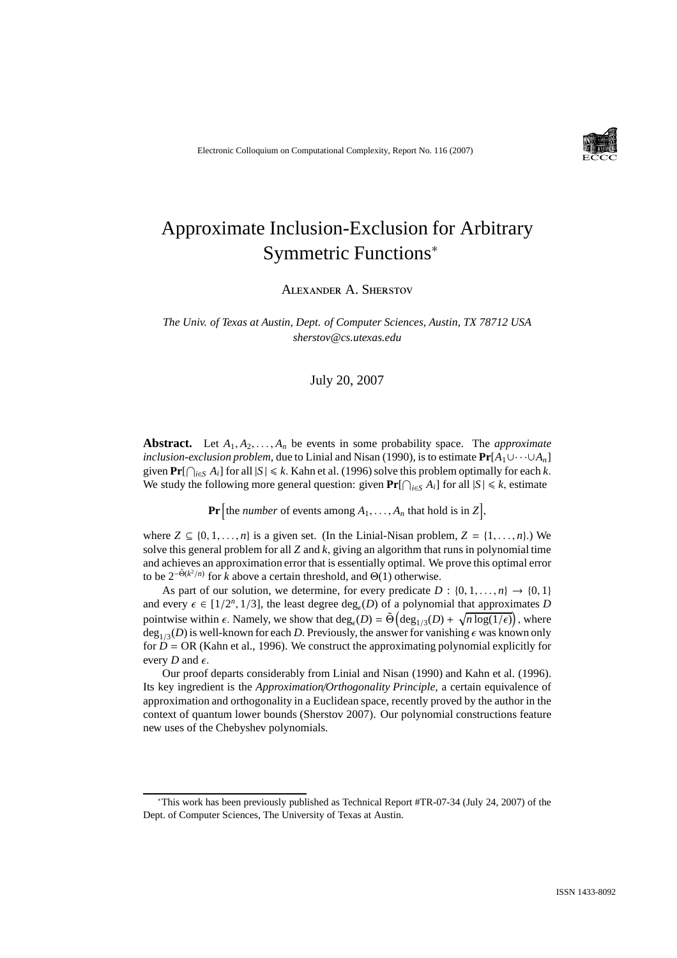

# Approximate Inclusion-Exclusion for Arbitrary Symmetric Functions<sup>∗</sup>

**ALEXANDER A. SHERSTOV** 

*The Univ. of Texas at Austin, Dept. of Computer Sciences, Austin, TX 78712 USA sherstov@cs.utexas.edu*

## July 20, 2007

**Abstract.** Let  $A_1, A_2, \ldots, A_n$  be events in some probability space. The *approximate inclusion-exclusion problem,* due to Linial and Nisan (1990), is to estimate  $Pr[A_1 \cup \cdots \cup A_n]$ given  $\Pr[\bigcap_{i \in S} A_i]$  for all  $|S| \le k$ . Kahn et al. (1996) solve this problem optimally for each *k*. We study the following more general question: given  $Pr[\bigcap_{i \in S} A_i]$  for all  $|S| \le k$ , estimate

**Pr** the *number* of events among  $A_1, \ldots, A_n$  that hold is in  $Z$ ,

where  $Z \subseteq \{0, 1, \ldots, n\}$  is a given set. (In the Linial-Nisan problem,  $Z = \{1, \ldots, n\}$ .) We solve this general problem for all *Z* and *k*, giving an algorithm that runs in polynomial time and achieves an approximation error that is essentially optimal. We prove this optimal error to be  $2^{-\tilde{\Theta}(k^2/n)}$  for *k* above a certain threshold, and  $\Theta(1)$  otherwise.

As part of our solution, we determine, for every predicate  $D : \{0, 1, \ldots, n\} \rightarrow \{0, 1\}$ and every  $\epsilon \in [1/2^n, 1/3]$ , the least degree deg<sub> $\epsilon$ </sub>(*D*) of a polynomial that approximates *D* pointwise within  $\epsilon$ . Namely, we show that  $deg_{\epsilon}(D) = \tilde{\Theta} \left( deg_{1/3}(D) + \sqrt{n \log(1/\epsilon)} \right)$ , where  $deg_{1/3}(D)$  is well-known for each *D*. Previously, the answer for vanishing  $\epsilon$  was known only for  $D = \text{OR}$  (Kahn et al., 1996). We construct the approximating polynomial explicitly for every *D* and  $\epsilon$ .

Our proof departs considerably from Linial and Nisan (1990) and Kahn et al. (1996). Its key ingredient is the *Approximation*/*Orthogonality Principle,* a certain equivalence of approximation and orthogonality in a Euclidean space, recently proved by the author in the context of quantum lower bounds (Sherstov 2007). Our polynomial constructions feature new uses of the Chebyshev polynomials.

<sup>∗</sup>This work has been previously published as Technical Report #TR-07-34 (July 24, 2007) of the Dept. of Computer Sciences, The University of Texas at Austin.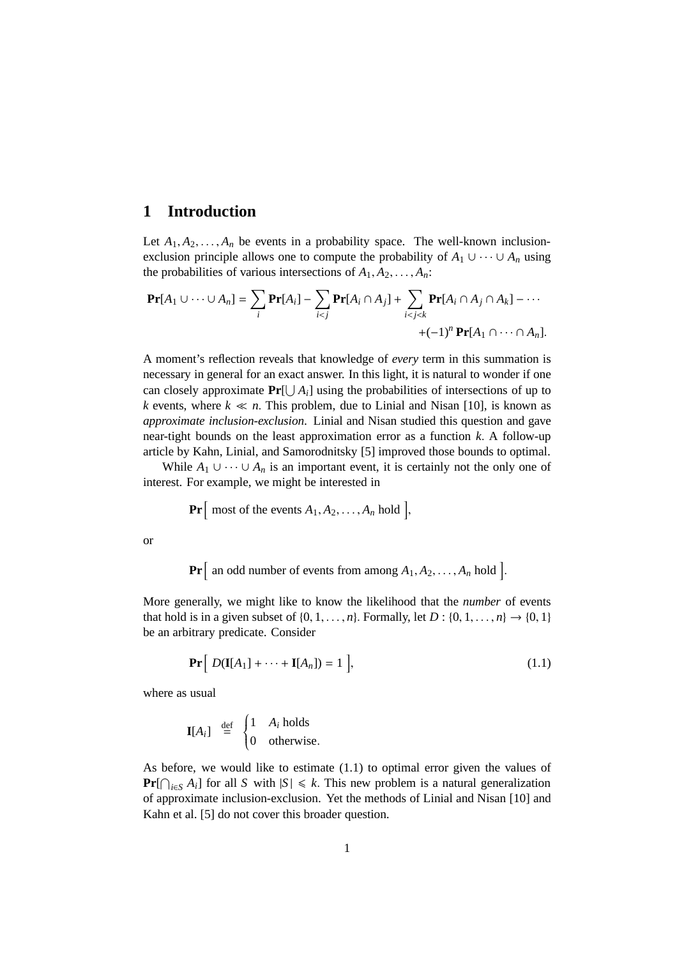# **1 Introduction**

Let  $A_1, A_2, \ldots, A_n$  be events in a probability space. The well-known inclusionexclusion principle allows one to compute the probability of  $A_1 \cup \cdots \cup A_n$  using the probabilities of various intersections of  $A_1, A_2, \ldots, A_n$ :

$$
\mathbf{Pr}[A_1 \cup \cdots \cup A_n] = \sum_i \mathbf{Pr}[A_i] - \sum_{i < j} \mathbf{Pr}[A_i \cap A_j] + \sum_{i < j < k} \mathbf{Pr}[A_i \cap A_j \cap A_k] - \cdots + (-1)^n \mathbf{Pr}[A_1 \cap \cdots \cap A_n].
$$

A moment's reflection reveals that knowledge of *every* term in this summation is necessary in general for an exact answer. In this light, it is natural to wonder if one can closely approximate  $Pr[\bigcup A_i]$  using the probabilities of intersections of up to *k* events, where  $k \ll n$ . This problem, due to Linial and Nisan [10], is known as *approximate inclusion-exclusion.* Linial and Nisan studied this question and gave near-tight bounds on the least approximation error as a function *k*. A follow-up article by Kahn, Linial, and Samorodnitsky [5] improved those bounds to optimal.

While  $A_1 \cup \cdots \cup A_n$  is an important event, it is certainly not the only one of interest. For example, we might be interested in

**Pr** most of the events 
$$
A_1, A_2, \ldots, A_n
$$
 hold,

or

**Pr** and **and number of events from among** 
$$
A_1, A_2, \ldots, A_n
$$
 hold.

More generally, we might like to know the likelihood that the *number* of events that hold is in a given subset of  $\{0, 1, \ldots, n\}$ . Formally, let  $D : \{0, 1, \ldots, n\} \rightarrow \{0, 1\}$ be an arbitrary predicate. Consider

$$
\Pr\left[D(\mathbf{I}[A_1] + \cdots + \mathbf{I}[A_n]) = 1\right],\tag{1.1}
$$

where as usual

$$
\mathbf{I}[A_i] \stackrel{\text{def}}{=} \begin{cases} 1 & A_i \text{ holds} \\ 0 & \text{otherwise.} \end{cases}
$$

As before, we would like to estimate (1.1) to optimal error given the values of **Pr**[ $\bigcap_{i \in S} A_i$ ] for all *S* with  $|S| \le k$ . This new problem is a natural generalization of approximate inclusion-exclusion. Yet the methods of Linial and Nisan [10] and Kahn et al. [5] do not cover this broader question.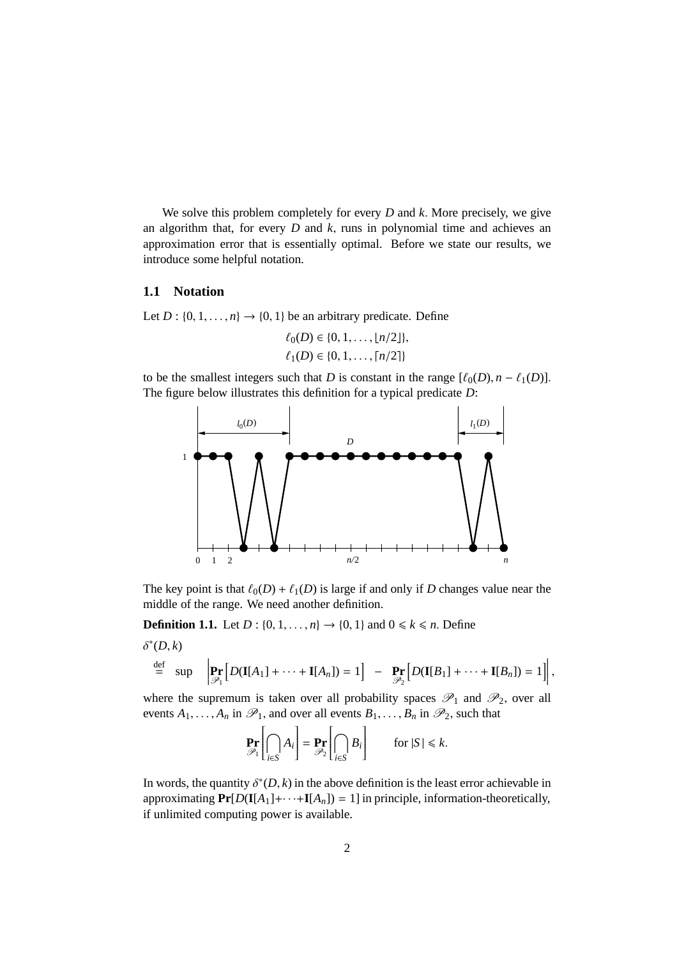We solve this problem completely for every *D* and *k*. More precisely, we give an algorithm that, for every *D* and *k*, runs in polynomial time and achieves an approximation error that is essentially optimal. Before we state our results, we introduce some helpful notation.

## **1.1 Notation**

Let  $D : \{0, 1, \ldots, n\} \rightarrow \{0, 1\}$  be an arbitrary predicate. Define

$$
\ell_0(D) \in \{0, 1, \dots, \lfloor n/2 \rfloor\},\
$$

$$
\ell_1(D) \in \{0, 1, \dots, \lceil n/2 \rceil\}
$$

to be the smallest integers such that *D* is constant in the range  $[\ell_0(D), n - \ell_1(D)]$ . The figure below illustrates this definition for a typical predicate *D*:



The key point is that  $\ell_0(D) + \ell_1(D)$  is large if and only if *D* changes value near the middle of the range. We need another definition.

**Definition 1.1.** Let  $D : \{0, 1, ..., n\} \to \{0, 1\}$  and  $0 \le k \le n$ . Define

 $\delta^*(D, k)$ 

$$
\stackrel{\text{def}}{=} \sup \left| \Pr_{\mathscr{P}_1} \left[ D(\mathbf{I}[A_1] + \cdots + \mathbf{I}[A_n]) = 1 \right] - \Pr_{\mathscr{P}_2} \left[ D(\mathbf{I}[B_1] + \cdots + \mathbf{I}[B_n]) = 1 \right] \right|,
$$

where the supremum is taken over all probability spaces  $\mathscr{P}_1$  and  $\mathscr{P}_2$ , over all events  $A_1, \ldots, A_n$  in  $\mathscr{P}_1$ , and over all events  $B_1, \ldots, B_n$  in  $\mathscr{P}_2$ , such that

$$
\Pr_{\mathscr{P}_1}\left[\bigcap_{i\in S} A_i\right] = \Pr_{\mathscr{P}_2}\left[\bigcap_{i\in S} B_i\right] \qquad \text{for } |S| \leq k.
$$

In words, the quantity  $\delta^*(D, k)$  in the above definition is the least error achievable in approximating  $Pr[D(\mathbf{I}[A_1]+\cdots+\mathbf{I}[A_n])=1]$  in principle, information-theoretically, if unlimited computing power is available.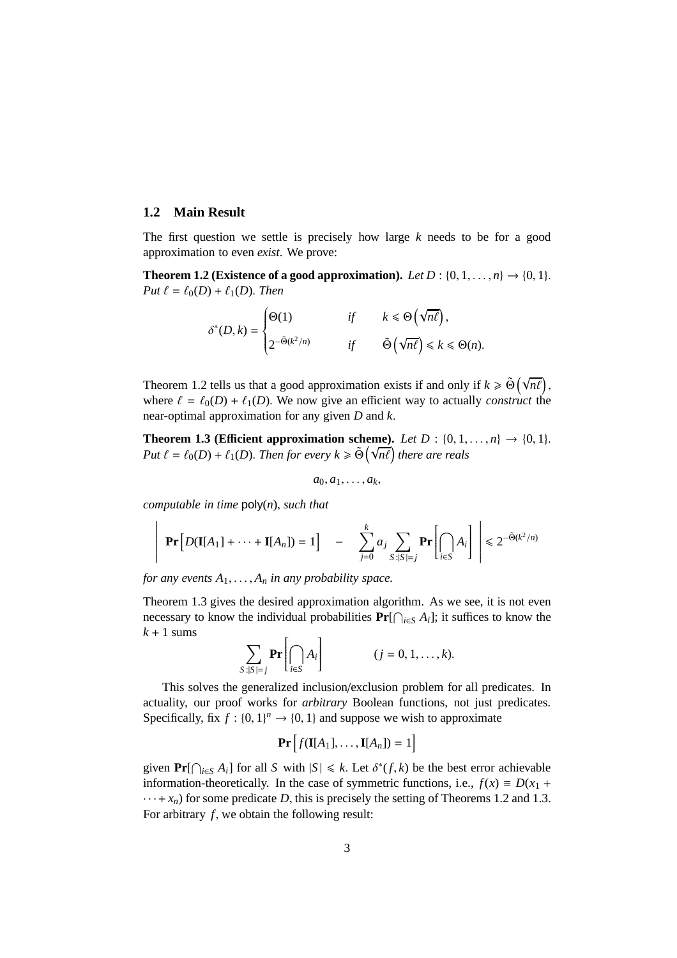## **1.2 Main Result**

The first question we settle is precisely how large *k* needs to be for a good approximation to even *exist*. We prove:

**Theorem 1.2 (Existence of a good approximation).** *Let*  $D : \{0, 1, \ldots, n\} \rightarrow \{0, 1\}$ . *Put*  $\ell = \ell_0(D) + \ell_1(D)$ . *Then* 

$$
\delta^*(D,k) = \begin{cases} \Theta(1) & \text{if} \qquad k \leq \Theta\left(\sqrt{n\ell}\right), \\ \\ 2^{-\tilde{\Theta}(k^2/n)} & \text{if} \qquad \tilde{\Theta}\left(\sqrt{n\ell}\right) \leq k \leq \Theta(n). \end{cases}
$$

Theorem 1.2 tells us that a good approximation exists if and only if  $k \geq \tilde{\Theta}(\sqrt{nt})$ , where  $\ell = \ell_0(D) + \ell_1(D)$ . We now give an efficient way to actually *construct* the near-optimal approximation for any given *D* and *k*.

**Theorem 1.3 (Efficient approximation scheme).** *Let*  $D : \{0, 1, \ldots, n\} \rightarrow \{0, 1\}$ . *Put*  $\ell = \ell_0(D) + \ell_1(D)$ . *Then for every k*  $\geq \tilde{\Theta}(\sqrt{n\ell})$  *there are reals* 

$$
a_0, a_1, \ldots, a_k,
$$

*computable in time* poly(*n*), *such that*

$$
\left| \Pr\left[ D(\mathbf{I}[A_1] + \cdots + \mathbf{I}[A_n]) = 1 \right] - \sum_{j=0}^k a_j \sum_{S : |S| = j} \Pr\left[ \bigcap_{i \in S} A_i \right] \right| \leq 2^{-\tilde{\Theta}(k^2/n)}
$$

*for any events*  $A_1, \ldots, A_n$  *in any probability space.* 

Theorem 1.3 gives the desired approximation algorithm. As we see, it is not even necessary to know the individual probabilities  $Pr[\bigcap_{i \in S} A_i]$ ; it suffices to know the  $k + 1$  sums

$$
\sum_{S:|S|=j} \mathbf{Pr}\left[\bigcap_{i\in S} A_i\right] \qquad (j=0,1,\ldots,k).
$$

This solves the generalized inclusion/exclusion problem for all predicates. In actuality, our proof works for *arbitrary* Boolean functions, not just predicates. Specifically, fix  $f : \{0, 1\}^n \to \{0, 1\}$  and suppose we wish to approximate

$$
\mathbf{Pr}\left[f(\mathbf{I}[A_1],\ldots,\mathbf{I}[A_n])=1\right]
$$

given  $\Pr[\bigcap_{i \in S} A_i]$  for all *S* with  $|S| \le k$ . Let  $\delta^*(f, k)$  be the best error achievable information-theoretically. In the case of symmetric functions, i.e.,  $f(x) \equiv D(x_1 +$  $\cdots + x_n$ ) for some predicate *D*, this is precisely the setting of Theorems 1.2 and 1.3. For arbitrary *f*, we obtain the following result: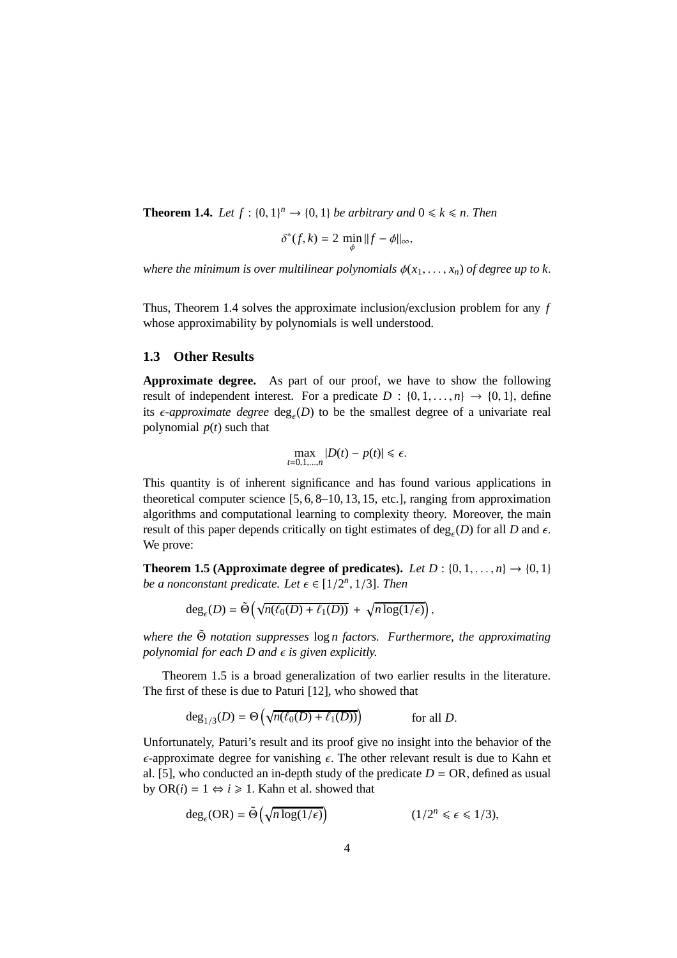**Theorem 1.4.** *Let*  $f : \{0, 1\}^n \to \{0, 1\}$  *be arbitrary and*  $0 \le k \le n$ *. Then* 

$$
\delta^*(f,k) = 2 \min_{\phi} ||f - \phi||_{\infty},
$$

*where the minimum is over multilinear polynomials*  $\phi(x_1, \ldots, x_n)$  *of degree up to k.* 

Thus, Theorem 1.4 solves the approximate inclusion/exclusion problem for any *f* whose approximability by polynomials is well understood.

## **1.3 Other Results**

**Approximate degree.** As part of our proof, we have to show the following result of independent interest. For a predicate  $D : \{0, 1, \ldots, n\} \rightarrow \{0, 1\}$ , define its  $\epsilon$ -*approximate degree*  $deg_{\epsilon}(D)$  to be the smallest degree of a univariate real polynomial  $p(t)$  such that

$$
\max_{t=0,1,\dots,n}|D(t)-p(t)|\leq \epsilon.
$$

This quantity is of inherent significance and has found various applications in theoretical computer science  $[5, 6, 8-10, 13, 15, \text{ etc.}]$ , ranging from approximation algorithms and computational learning to complexity theory. Moreover, the main result of this paper depends critically on tight estimates of  $deg_{\epsilon}(D)$  for all *D* and  $\epsilon$ . We prove:

**Theorem 1.5 (Approximate degree of predicates).** *Let*  $D : \{0, 1, \ldots, n\} \rightarrow \{0, 1\}$ *be a nonconstant predicate. Let*  $\epsilon \in [1/2^n, 1/3]$ *. Then* 

$$
\deg_{\epsilon}(D) = \tilde{\Theta}\left(\sqrt{n(\ell_0(D) + \ell_1(D))} + \sqrt{n \log(1/\epsilon)}\right),\,
$$

*where the*  $\tilde{\Theta}$  *notation suppresses* log *n factors. Furthermore, the approximating polynomial for each D and*  $\epsilon$  *is given explicitly.* 

Theorem 1.5 is a broad generalization of two earlier results in the literature. The first of these is due to Paturi [12], who showed that

$$
\deg_{1/3}(D) = \Theta\left(\sqrt{n(\ell_0(D) + \ell_1(D))}\right) \qquad \text{for all } D.
$$

Unfortunately, Paturi's result and its proof give no insight into the behavior of the  $\epsilon$ -approximate degree for vanishing  $\epsilon$ . The other relevant result is due to Kahn et al. [5], who conducted an in-depth study of the predicate  $D = \text{OR}$ , defined as usual by  $OR(i) = 1 \Leftrightarrow i \ge 1$ . Kahn et al. showed that

$$
\deg_{\epsilon}(\text{OR}) = \tilde{\Theta}\left(\sqrt{n \log(1/\epsilon)}\right) \qquad (1/2^n \leq \epsilon \leq 1/3),
$$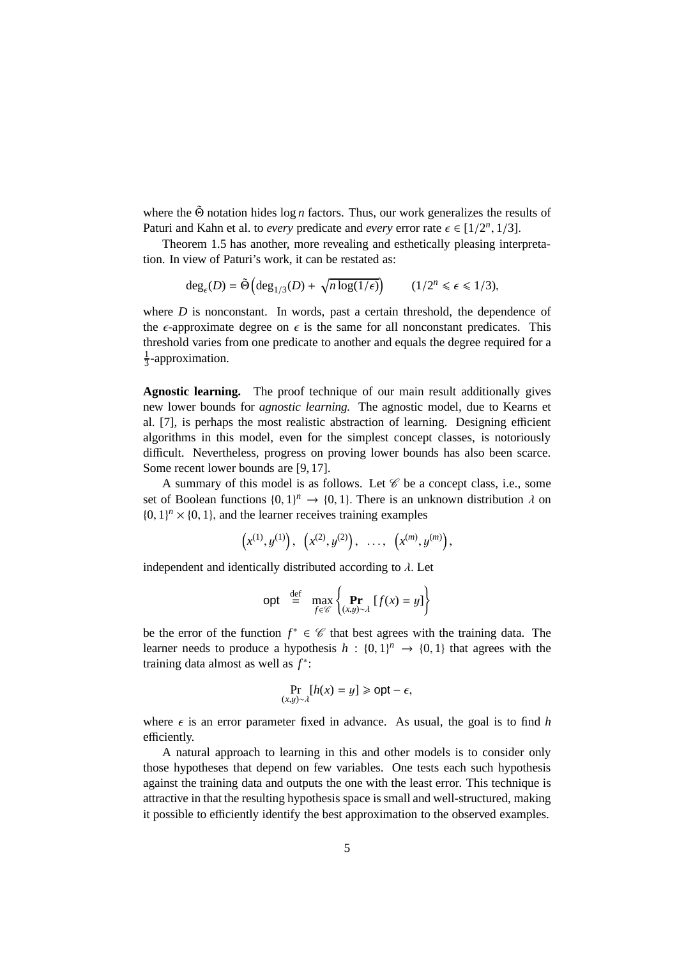where the Θ notation hides log *n* factors. Thus, our work generalizes the results of Paturi and Kahn et al. to *every* predicate and *every* error rate  $\epsilon \in [1/2^n, 1/3]$ .

Theorem 1.5 has another, more revealing and esthetically pleasing interpretation. In view of Paturi's work, it can be restated as:

$$
\deg_{\epsilon}(D) = \tilde{\Theta}\left(\deg_{1/3}(D) + \sqrt{n \log(1/\epsilon)}\right) \qquad (1/2^n \leq \epsilon \leq 1/3),
$$

where  $D$  is nonconstant. In words, past a certain threshold, the dependence of the  $\epsilon$ -approximate degree on  $\epsilon$  is the same for all nonconstant predicates. This threshold varies from one predicate to another and equals the degree required for a 1  $\frac{1}{3}$ -approximation.

**Agnostic learning.** The proof technique of our main result additionally gives new lower bounds for *agnostic learning.* The agnostic model, due to Kearns et al. [7], is perhaps the most realistic abstraction of learning. Designing efficient algorithms in this model, even for the simplest concept classes, is notoriously difficult. Nevertheless, progress on proving lower bounds has also been scarce. Some recent lower bounds are [9, 17].

A summary of this model is as follows. Let  $\mathscr C$  be a concept class, i.e., some set of Boolean functions  $\{0, 1\}^n \rightarrow \{0, 1\}$ . There is an unknown distribution  $\lambda$  on  $\{0, 1\}^n \times \{0, 1\}$ , and the learner receives training examples

$$
(x^{(1)}, y^{(1)}), (x^{(2)}, y^{(2)}), \ldots, (x^{(m)}, y^{(m)}),
$$

independent and identically distributed according to  $\lambda$ . Let

$$
\text{opt} \stackrel{\text{def}}{=} \max_{f \in \mathscr{C}} \left\{ \Pr_{(x,y) \sim \lambda} [f(x) = y] \right\}
$$

be the error of the function  $f^* \in \mathscr{C}$  that best agrees with the training data. The learner needs to produce a hypothesis  $h : \{0, 1\}^n \to \{0, 1\}$  that agrees with the training data almost as well as *f* ∗ :

$$
\Pr_{(x,y)\sim\lambda}[h(x)=y]\geqslant \mathsf{opt}-\epsilon,
$$

where  $\epsilon$  is an error parameter fixed in advance. As usual, the goal is to find *h* efficiently.

A natural approach to learning in this and other models is to consider only those hypotheses that depend on few variables. One tests each such hypothesis against the training data and outputs the one with the least error. This technique is attractive in that the resulting hypothesis space is small and well-structured, making it possible to efficiently identify the best approximation to the observed examples.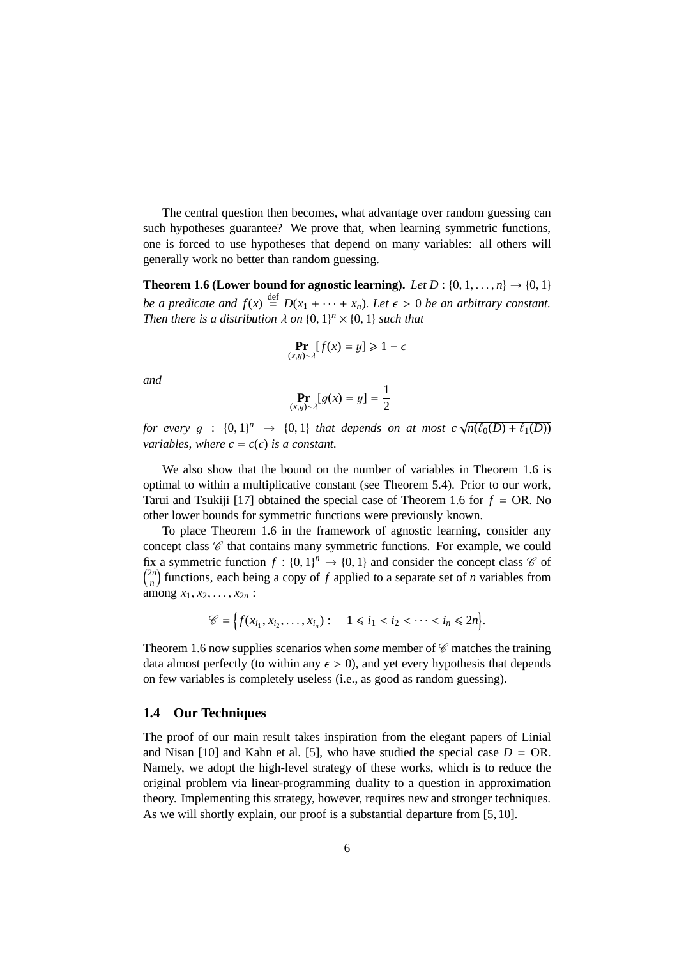The central question then becomes, what advantage over random guessing can such hypotheses guarantee? We prove that, when learning symmetric functions, one is forced to use hypotheses that depend on many variables: all others will generally work no better than random guessing.

**Theorem 1.6 (Lower bound for agnostic learning).** *Let*  $D : \{0, 1, \ldots, n\} \rightarrow \{0, 1\}$ *be a predicate and*  $f(x) \stackrel{\text{def}}{=} D(x_1 + \cdots + x_n)$ . Let  $\epsilon > 0$  *be an arbitrary constant. Then there is a distribution*  $\lambda$  *on*  $\{0, 1\}^n \times \{0, 1\}$  *such that* 

$$
\Pr_{(x,y)\sim\lambda}[f(x) = y] \ge 1 - \epsilon
$$

*and*

$$
\Pr_{(x,y)\sim\lambda}[g(x) = y] = \frac{1}{2}
$$

*for every*  $g : \{0,1\}^n \rightarrow \{0,1\}$  *that depends on at most c*  $\sqrt{n(\ell_0(D) + \ell_1(D))}$ *variables, where*  $c = c(\epsilon)$  *is a constant.* 

We also show that the bound on the number of variables in Theorem 1.6 is optimal to within a multiplicative constant (see Theorem 5.4). Prior to our work, Tarui and Tsukiji [17] obtained the special case of Theorem 1.6 for *f* = OR. No other lower bounds for symmetric functions were previously known.

To place Theorem 1.6 in the framework of agnostic learning, consider any concept class  $\mathscr C$  that contains many symmetric functions. For example, we could fix a symmetric function  $f : \{0, 1\}^n \to \{0, 1\}$  and consider the concept class  $\mathcal C$  of 2*n*  $\binom{n}{n}$  functions, each being a copy of *f* applied to a separate set of *n* variables from among  $x_1, x_2, \ldots, x_{2n}$ :

$$
\mathscr{C} = \Big\{ f(x_{i_1}, x_{i_2}, \dots, x_{i_n}) : 1 \leq i_1 < i_2 < \dots < i_n \leq 2n \Big\}.
$$

Theorem 1.6 now supplies scenarios when *some* member of  $\mathscr C$  matches the training data almost perfectly (to within any  $\epsilon > 0$ ), and yet every hypothesis that depends on few variables is completely useless (i.e., as good as random guessing).

#### **1.4 Our Techniques**

The proof of our main result takes inspiration from the elegant papers of Linial and Nisan [10] and Kahn et al. [5], who have studied the special case  $D = OR$ . Namely, we adopt the high-level strategy of these works, which is to reduce the original problem via linear-programming duality to a question in approximation theory. Implementing this strategy, however, requires new and stronger techniques. As we will shortly explain, our proof is a substantial departure from [5, 10].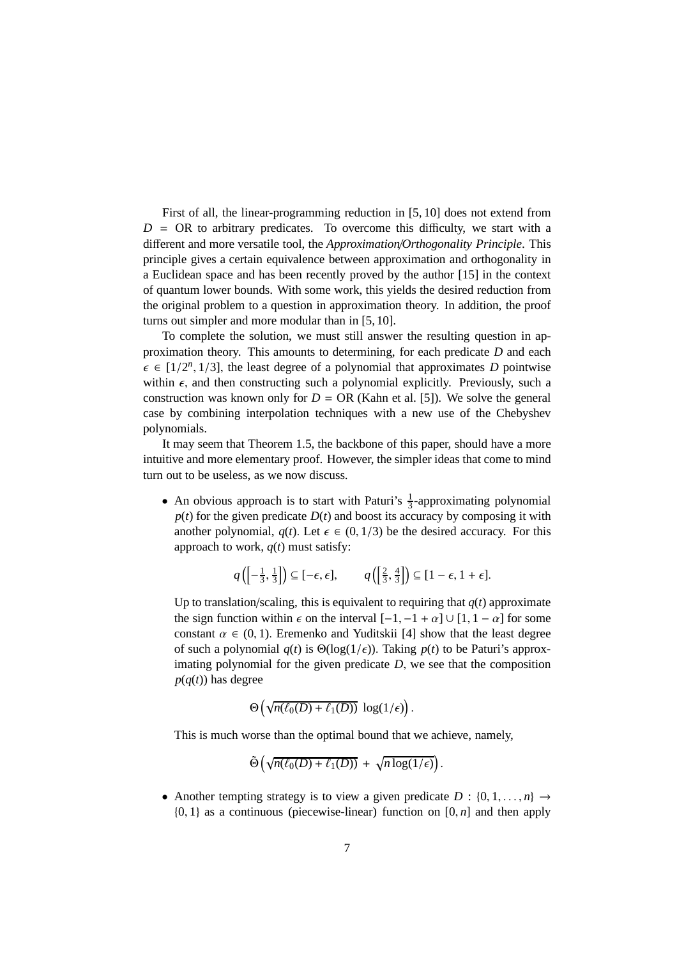First of all, the linear-programming reduction in [5, 10] does not extend from  $D = OR$  to arbitrary predicates. To overcome this difficulty, we start with a different and more versatile tool, the *Approximation*/*Orthogonality Principle*. This principle gives a certain equivalence between approximation and orthogonality in a Euclidean space and has been recently proved by the author [15] in the context of quantum lower bounds. With some work, this yields the desired reduction from the original problem to a question in approximation theory. In addition, the proof turns out simpler and more modular than in [5, 10].

To complete the solution, we must still answer the resulting question in approximation theory. This amounts to determining, for each predicate *D* and each  $\epsilon \in [1/2^n, 1/3]$ , the least degree of a polynomial that approximates *D* pointwise within  $\epsilon$ , and then constructing such a polynomial explicitly. Previously, such a construction was known only for  $D = \text{OR}$  (Kahn et al. [5]). We solve the general case by combining interpolation techniques with a new use of the Chebyshev polynomials.

It may seem that Theorem 1.5, the backbone of this paper, should have a more intuitive and more elementary proof. However, the simpler ideas that come to mind turn out to be useless, as we now discuss.

• An obvious approach is to start with Paturi's  $\frac{1}{3}$ -approximating polynomial  $p(t)$  for the given predicate  $D(t)$  and boost its accuracy by composing it with another polynomial,  $q(t)$ . Let  $\epsilon \in (0, 1/3)$  be the desired accuracy. For this approach to work,  $q(t)$  must satisfy:

$$
q\left(\left[-\frac{1}{3},\frac{1}{3}\right]\right) \subseteq \left[-\epsilon,\epsilon\right], \qquad q\left(\left[\frac{2}{3},\frac{4}{3}\right]\right) \subseteq \left[1-\epsilon,1+\epsilon\right].
$$

Up to translation/scaling, this is equivalent to requiring that  $q(t)$  approximate the sign function within  $\epsilon$  on the interval  $[-1, -1 + \alpha] \cup [1, 1 - \alpha]$  for some constant  $\alpha \in (0, 1)$ . Eremenko and Yuditskii [4] show that the least degree of such a polynomial  $q(t)$  is  $\Theta(\log(1/\epsilon))$ . Taking  $p(t)$  to be Paturi's approximating polynomial for the given predicate *D*, we see that the composition  $p(q(t))$  has degree

$$
\Theta\left(\sqrt{n(\ell_0(D)+\ell_1(D))}\log(1/\epsilon)\right).
$$

This is much worse than the optimal bound that we achieve, namely,

$$
\tilde{\Theta}\left(\sqrt{n(\ell_0(D)+\ell_1(D))} + \sqrt{n\log(1/\epsilon)}\right).
$$

• Another tempting strategy is to view a given predicate  $D : \{0, 1, \ldots, n\} \rightarrow$  $\{0, 1\}$  as a continuous (piecewise-linear) function on  $[0, n]$  and then apply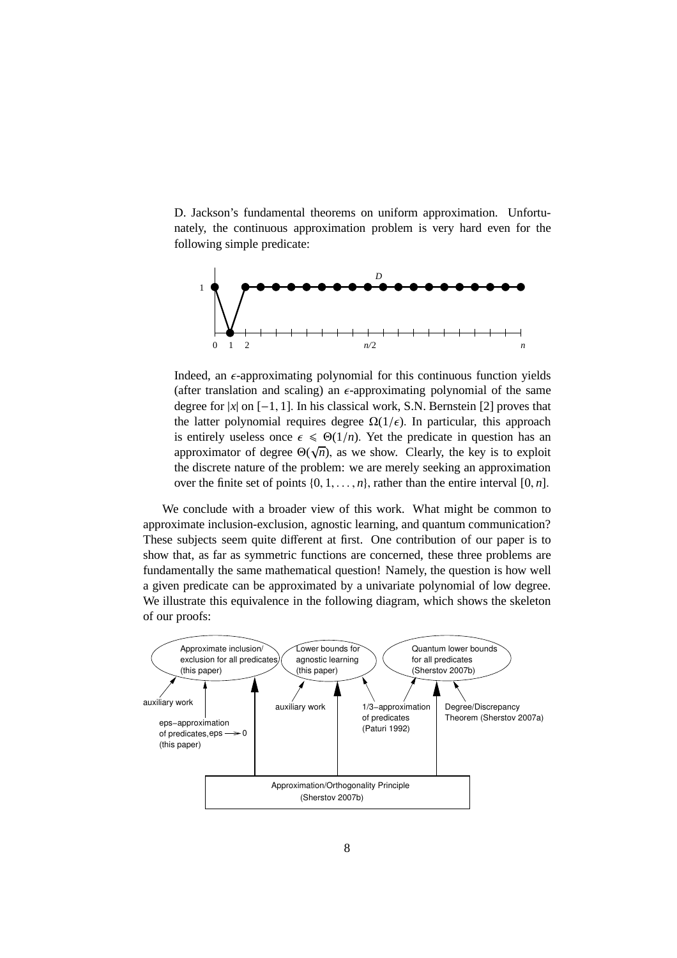D. Jackson's fundamental theorems on uniform approximation. Unfortunately, the continuous approximation problem is very hard even for the following simple predicate:



Indeed, an  $\epsilon$ -approximating polynomial for this continuous function yields (after translation and scaling) an  $\epsilon$ -approximating polynomial of the same degree for  $|x|$  on  $[-1, 1]$ . In his classical work, S.N. Bernstein  $[2]$  proves that the latter polynomial requires degree  $\Omega(1/\epsilon)$ . In particular, this approach is entirely useless once  $\epsilon \leq \Theta(1/n)$ . Yet the predicate in question has an approximator of degree  $\Theta(\sqrt{n})$ , as we show. Clearly, the key is to exploit the discrete nature of the problem: we are merely seeking an approximation over the finite set of points  $\{0, 1, \ldots, n\}$ , rather than the entire interval  $[0, n]$ .

We conclude with a broader view of this work. What might be common to approximate inclusion-exclusion, agnostic learning, and quantum communication? These subjects seem quite different at first. One contribution of our paper is to show that, as far as symmetric functions are concerned, these three problems are fundamentally the same mathematical question! Namely, the question is how well a given predicate can be approximated by a univariate polynomial of low degree. We illustrate this equivalence in the following diagram, which shows the skeleton of our proofs:

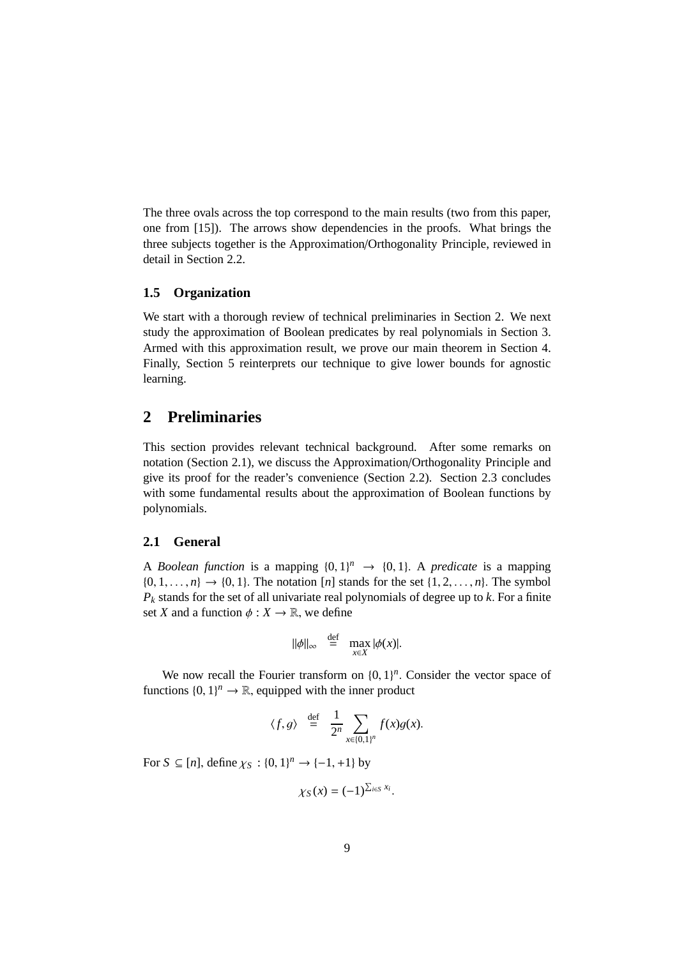The three ovals across the top correspond to the main results (two from this paper, one from [15]). The arrows show dependencies in the proofs. What brings the three subjects together is the Approximation/Orthogonality Principle, reviewed in detail in Section 2.2.

# **1.5 Organization**

We start with a thorough review of technical preliminaries in Section 2. We next study the approximation of Boolean predicates by real polynomials in Section 3. Armed with this approximation result, we prove our main theorem in Section 4. Finally, Section 5 reinterprets our technique to give lower bounds for agnostic learning.

# **2 Preliminaries**

This section provides relevant technical background. After some remarks on notation (Section 2.1), we discuss the Approximation/Orthogonality Principle and give its proof for the reader's convenience (Section 2.2). Section 2.3 concludes with some fundamental results about the approximation of Boolean functions by polynomials.

## **2.1 General**

A *Boolean function* is a mapping  $\{0, 1\}^n \rightarrow \{0, 1\}$ . A *predicate* is a mapping  $\{0, 1, \ldots, n\} \rightarrow \{0, 1\}$ . The notation [*n*] stands for the set  $\{1, 2, \ldots, n\}$ . The symbol *P<sup>k</sup>* stands for the set of all univariate real polynomials of degree up to *k*. For a finite set *X* and a function  $\phi: X \to \mathbb{R}$ , we define

$$
\|\phi\|_{\infty} \stackrel{\text{def}}{=} \max_{x \in X} |\phi(x)|.
$$

We now recall the Fourier transform on  $\{0, 1\}^n$ . Consider the vector space of functions  $\{0, 1\}^n \to \mathbb{R}$ , equipped with the inner product

$$
\langle f, g \rangle \stackrel{\text{def}}{=} \frac{1}{2^n} \sum_{x \in \{0,1\}^n} f(x)g(x).
$$

For  $S \subseteq [n]$ , define  $\chi_S : \{0, 1\}^n \to \{-1, +1\}$  by

$$
\chi_S(x)=(-1)^{\sum_{i\in S}x_i}.
$$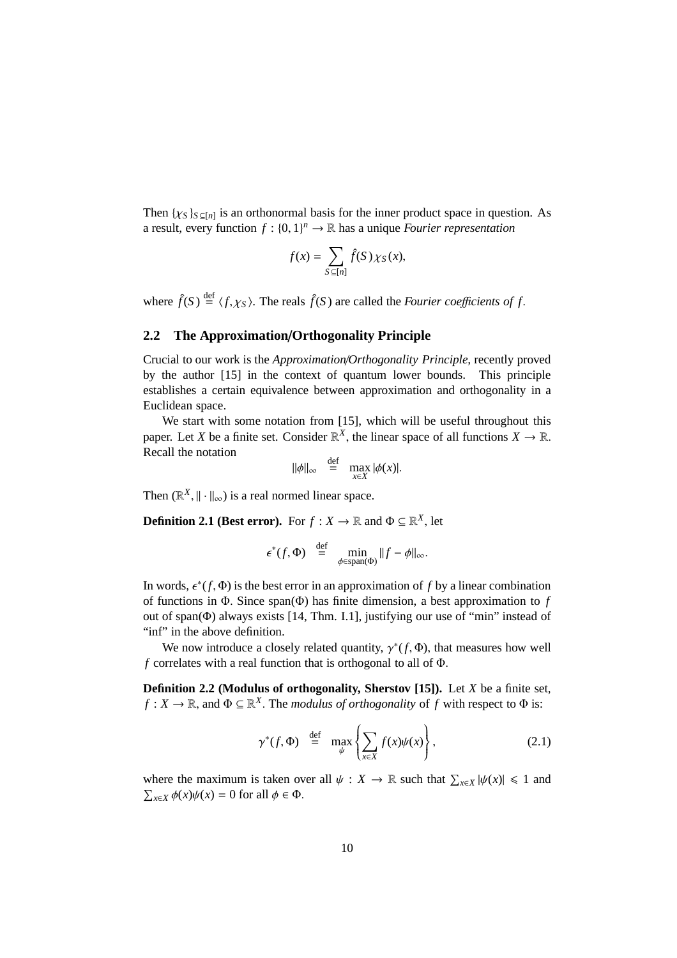Then  $\{\chi_S\}_{S \subseteq [n]}$  is an orthonormal basis for the inner product space in question. As a result, every function  $f : \{0, 1\}^n \to \mathbb{R}$  has a unique *Fourier representation* 

$$
f(x) = \sum_{S \subseteq [n]} \hat{f}(S) \chi_S(x),
$$

where  $\hat{f}(S) \stackrel{\text{def}}{=} \langle f, \chi_S \rangle$ . The reals  $\hat{f}(S)$  are called the *Fourier coefficients of f*.

#### **2.2 The Approximation**/**Orthogonality Principle**

Crucial to our work is the *Approximation*/*Orthogonality Principle,* recently proved by the author [15] in the context of quantum lower bounds. This principle establishes a certain equivalence between approximation and orthogonality in a Euclidean space.

We start with some notation from [15], which will be useful throughout this paper. Let *X* be a finite set. Consider  $\mathbb{R}^X$ , the linear space of all functions  $X \to \mathbb{R}$ . Recall the notation

$$
\|\phi\|_{\infty} \stackrel{\text{def}}{=} \max_{x \in X} |\phi(x)|.
$$

Then  $(\mathbb{R}^X, \|\cdot\|_{\infty})$  is a real normed linear space.

**Definition 2.1 (Best error).** For  $f: X \to \mathbb{R}$  and  $\Phi \subseteq \mathbb{R}^X$ , let

$$
\epsilon^*(f, \Phi) \stackrel{\text{def}}{=} \min_{\phi \in \text{span}(\Phi)} ||f - \phi||_{\infty}.
$$

In words,  $\epsilon^*(f, \Phi)$  is the best error in an approximation of f by a linear combination of functions in Φ. Since span(Φ) has finite dimension, a best approximation to *f* out of span $(\Phi)$  always exists [14, Thm. I.1], justifying our use of "min" instead of "inf" in the above definition.

We now introduce a closely related quantity,  $\gamma^*(f, \Phi)$ , that measures how well *f* correlates with a real function that is orthogonal to all of Φ.

**Definition 2.2 (Modulus of orthogonality, Sherstov [15]).** Let *X* be a finite set, *f* : *X*  $\rightarrow \mathbb{R}$ , and  $\Phi \subseteq \mathbb{R}^X$ . The *modulus of orthogonality* of *f* with respect to  $\Phi$  is:

$$
\gamma^*(f, \Phi) \stackrel{\text{def}}{=} \max_{\psi} \left\{ \sum_{x \in X} f(x) \psi(x) \right\},\tag{2.1}
$$

where the maximum is taken over all  $\psi : X \to \mathbb{R}$  such that  $\sum_{x \in X} |\psi(x)| \leq 1$  and  $\sum_{x \in X} \phi(x) \psi(x) = 0$  for all  $\phi \in \Phi$ .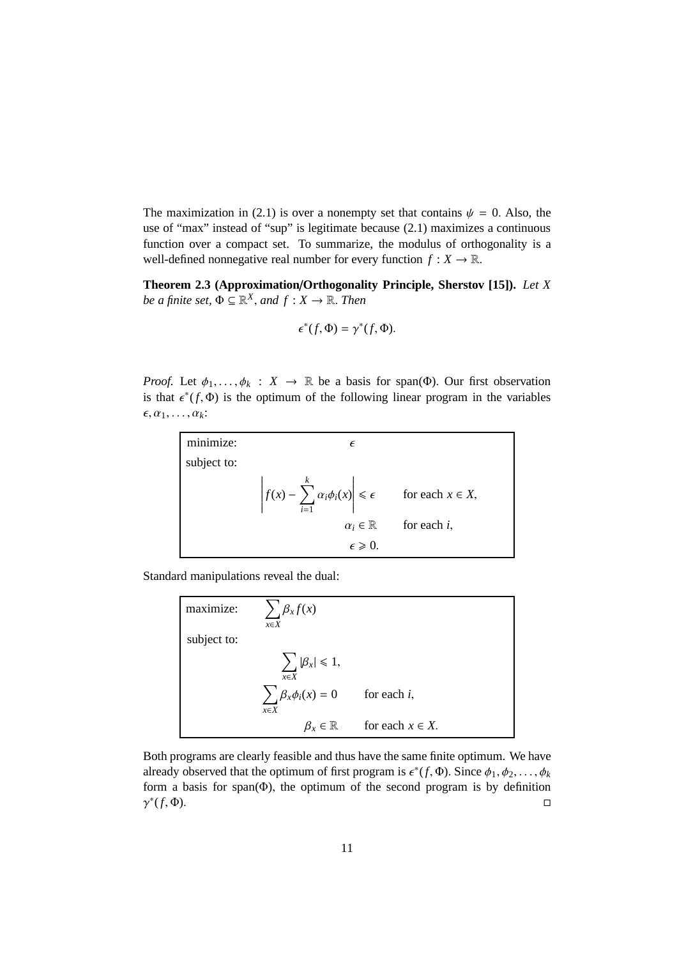The maximization in (2.1) is over a nonempty set that contains  $\psi = 0$ . Also, the use of "max" instead of "sup" is legitimate because (2.1) maximizes a continuous function over a compact set. To summarize, the modulus of orthogonality is a well-defined nonnegative real number for every function  $f: X \to \mathbb{R}$ .

**Theorem 2.3 (Approximation**/**Orthogonality Principle, Sherstov [15]).** *Let X be a finite set,*  $\Phi \subseteq \mathbb{R}^X$ *, and*  $f : X \to \mathbb{R}$ *. Then* 

$$
\epsilon^*(f, \Phi) = \gamma^*(f, \Phi).
$$

*Proof.* Let  $\phi_1, \ldots, \phi_k : X \to \mathbb{R}$  be a basis for span( $\Phi$ ). Our first observation is that  $\epsilon^*(f, \Phi)$  is the optimum of the following linear program in the variables  $\epsilon, \alpha_1, \ldots, \alpha_k$ :

| minimize:   | F                                                                                          |                                       |
|-------------|--------------------------------------------------------------------------------------------|---------------------------------------|
| subject to: |                                                                                            |                                       |
|             | $\left  f(x) - \sum_{i=1}^k \alpha_i \phi_i(x) \right  \leq \epsilon$ for each $x \in X$ , |                                       |
|             |                                                                                            | $\alpha_i \in \mathbb{R}$ for each i, |
|             | $\epsilon \geqslant 0.$                                                                    |                                       |

Standard manipulations reveal the dual:

maximize: 
$$
\sum_{x \in X} \beta_x f(x)
$$
  
subject to:  

$$
\sum_{x \in X} |\beta_x| \le 1,
$$

$$
\sum_{x \in X} \beta_x \phi_i(x) = 0 \quad \text{for each } i,
$$

$$
\beta_x \in \mathbb{R} \quad \text{for each } x \in X.
$$

Both programs are clearly feasible and thus have the same finite optimum. We have already observed that the optimum of first program is  $\epsilon^*(f, \Phi)$ . Since  $\phi_1, \phi_2, \ldots, \phi_k$ form a basis for span(Φ), the optimum of the second program is by definition  $\gamma^*$  $(f, \Phi)$ .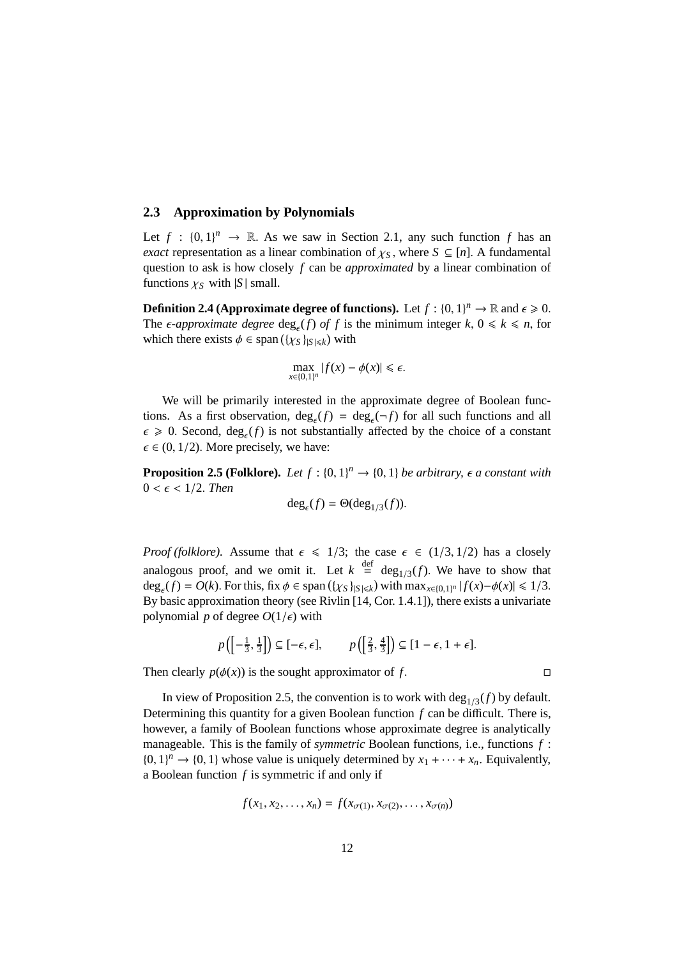## **2.3 Approximation by Polynomials**

Let  $f : \{0, 1\}^n \to \mathbb{R}$ . As we saw in Section 2.1, any such function  $f$  has an *exact* representation as a linear combination of  $\chi_S$ , where  $S \subseteq [n]$ . A fundamental question to ask is how closely *f* can be *approximated* by a linear combination of functions  $\chi_S$  with  $|S|$  small.

**Definition 2.4 (Approximate degree of functions).** Let  $f : \{0, 1\}^n \to \mathbb{R}$  and  $\epsilon \ge 0$ . The  $\epsilon$ -*approximate degree* deg<sub> $\epsilon$ </sub>(*f*) *of f* is the minimum integer *k*,  $0 \le k \le n$ , for which there exists  $\phi \in \text{span}(\{\chi_S\}_{|S| \le k})$  with

$$
\max_{x\in\{0,1\}^n}|f(x)-\phi(x)|\leq \epsilon.
$$

We will be primarily interested in the approximate degree of Boolean functions. As a first observation,  $deg_{\epsilon}(f) = deg_{\epsilon}(\neg f)$  for all such functions and all  $\epsilon \geq 0$ . Second, deg<sub> $\epsilon$ </sub>(f) is not substantially affected by the choice of a constant  $\epsilon \in (0, 1/2)$ . More precisely, we have:

**Proposition 2.5 (Folklore).** Let  $f : \{0, 1\}^n \rightarrow \{0, 1\}$  be arbitrary,  $\epsilon$  a constant with  $0 < \epsilon < 1/2$ . *Then* 

$$
\deg_{\epsilon}(f) = \Theta(\deg_{1/3}(f)).
$$

*Proof (folklore).* Assume that  $\epsilon \leq 1/3$ ; the case  $\epsilon \in (1/3, 1/2)$  has a closely analogous proof, and we omit it. Let  $k \stackrel{\text{def}}{=} \deg_{1/3}(f)$ . We have to show that  $\deg_{\epsilon}(f) = O(k)$ . For this, fix  $\phi \in \text{span}(\{\chi_{S}\}_{|S|\leq k})$  with  $\max_{x\in\{0,1\}^n} |f(x)-\phi(x)| \leq 1/3$ . By basic approximation theory (see Rivlin [14, Cor. 1.4.1]), there exists a univariate polynomial *p* of degree  $O(1/\epsilon)$  with

$$
p\left(\left[-\frac{1}{3},\frac{1}{3}\right]\right) \subseteq \left[-\epsilon,\epsilon\right], \qquad p\left(\left[\frac{2}{3},\frac{4}{3}\right]\right) \subseteq \left[1-\epsilon,1+\epsilon\right].
$$

Then clearly  $p(\phi(x))$  is the sought approximator of *f*.

In view of Proposition 2.5, the convention is to work with  $\deg_{1/3}(f)$  by default. Determining this quantity for a given Boolean function *f* can be difficult. There is, however, a family of Boolean functions whose approximate degree is analytically manageable. This is the family of *symmetric* Boolean functions, i.e., functions *f* :  $\{0, 1\}^n \rightarrow \{0, 1\}$  whose value is uniquely determined by  $x_1 + \cdots + x_n$ . Equivalently, a Boolean function *f* is symmetric if and only if

$$
f(x_1, x_2, \ldots, x_n) = f(x_{\sigma(1)}, x_{\sigma(2)}, \ldots, x_{\sigma(n)})
$$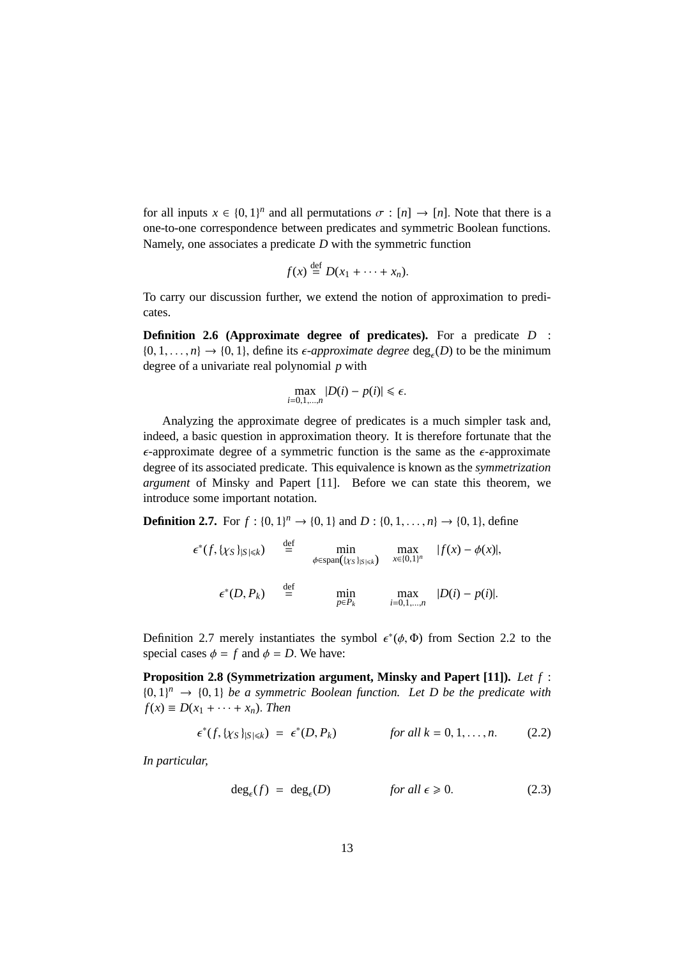for all inputs  $x \in \{0, 1\}^n$  and all permutations  $\sigma : [n] \to [n]$ . Note that there is a one-to-one correspondence between predicates and symmetric Boolean functions. Namely, one associates a predicate *D* with the symmetric function

$$
f(x) \stackrel{\text{def}}{=} D(x_1 + \cdots + x_n).
$$

To carry our discussion further, we extend the notion of approximation to predicates.

**Definition 2.6 (Approximate degree of predicates).** For a predicate *D* :  $\{0, 1, \ldots, n\} \rightarrow \{0, 1\}$ , define its  $\epsilon$ *-approximate degree* deg<sub> $\epsilon$ </sub>(*D*) to be the minimum degree of a univariate real polynomial *p* with

$$
\max_{i=0,1,\dots,n}|D(i)-p(i)| \leq \epsilon.
$$

Analyzing the approximate degree of predicates is a much simpler task and, indeed, a basic question in approximation theory. It is therefore fortunate that the  $\epsilon$ -approximate degree of a symmetric function is the same as the  $\epsilon$ -approximate degree of its associated predicate. This equivalence is known as the *symmetrization argument* of Minsky and Papert [11]. Before we can state this theorem, we introduce some important notation.

**Definition 2.7.** For  $f : \{0, 1\}^n \to \{0, 1\}$  and  $D : \{0, 1, \ldots, n\} \to \{0, 1\}$ , define

$$
\epsilon^*(f, \{\chi_S\}_{|S| \le k}) \stackrel{\text{def}}{=} \min_{\phi \in \text{span}(\{\chi_S\}_{|S| \le k})} \max_{x \in \{0,1\}^n} |f(x) - \phi(x)|,
$$
\n
$$
\epsilon^*(D, P_k) \stackrel{\text{def}}{=} \min_{p \in P_k} \max_{i=0,1,...,n} |D(i) - p(i)|.
$$

Definition 2.7 merely instantiates the symbol  $\epsilon^*(\phi, \Phi)$  from Section 2.2 to the special cases  $\phi = f$  and  $\phi = D$ . We have:

**Proposition 2.8 (Symmetrization argument, Minsky and Papert [11]).** *Let f* :  ${0, 1}^n \rightarrow {0, 1}$  *be a symmetric Boolean function. Let D be the predicate with*  $f(x) \equiv D(x_1 + \cdots + x_n)$ . *Then* 

$$
\epsilon^*(f, \{\chi_S\}_{|S| \le k}) = \epsilon^*(D, P_k) \qquad \text{for all } k = 0, 1, \dots, n. \tag{2.2}
$$

*In particular,*

$$
\deg_{\epsilon}(f) = \deg_{\epsilon}(D) \qquad \text{for all } \epsilon \geq 0. \tag{2.3}
$$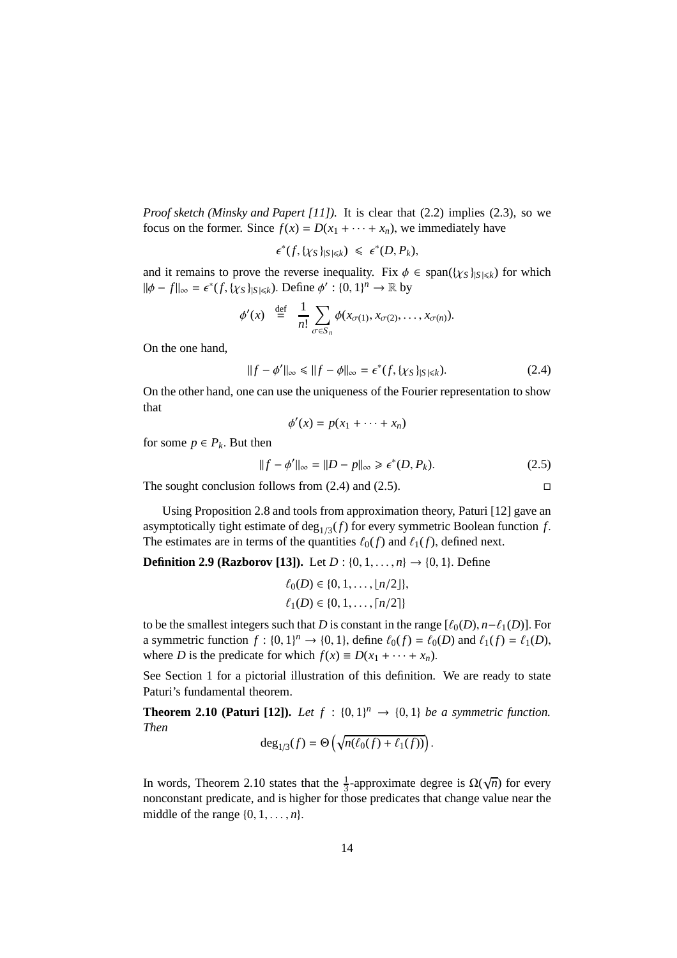*Proof sketch (Minsky and Papert [11]).* It is clear that (2.2) implies (2.3), so we focus on the former. Since  $f(x) = D(x_1 + \cdots + x_n)$ , we immediately have

$$
\epsilon^*(f,\{\chi_S\}_{|S|\leq k}) \leq \epsilon^*(D,P_k),
$$

and it remains to prove the reverse inequality. Fix  $\phi \in \text{span}(\{\chi_S\}_{|S| \le k})$  for which  $\|\phi - f\|_{\infty} = \epsilon^*(f, \{ \chi_S \}_{|S| \le k}).$  Define  $\phi' : \{0, 1\}^n \to \mathbb{R}$  by

$$
\phi'(x) \stackrel{\text{def}}{=} \frac{1}{n!} \sum_{\sigma \in S_n} \phi(x_{\sigma(1)}, x_{\sigma(2)}, \ldots, x_{\sigma(n)}).
$$

On the one hand,

$$
||f - \phi'||_{\infty} \le ||f - \phi||_{\infty} = \epsilon^* (f, \{ \chi_S \}_{|S| \le k}). \tag{2.4}
$$

On the other hand, one can use the uniqueness of the Fourier representation to show that

$$
\phi'(x) = p(x_1 + \cdots + x_n)
$$

for some  $p \in P_k$ . But then

$$
||f - \phi'||_{\infty} = ||D - p||_{\infty} \ge \epsilon^*(D, P_k). \tag{2.5}
$$

The sought conclusion follows from  $(2.4)$  and  $(2.5)$ .

Using Proposition 2.8 and tools from approximation theory, Paturi [12] gave an asymptotically tight estimate of  $\deg_{1/3}(f)$  for every symmetric Boolean function  $f$ . The estimates are in terms of the quantities  $\ell_0(f)$  and  $\ell_1(f)$ , defined next.

**Definition 2.9 (Razborov [13]).** Let  $D : \{0, 1, ..., n\} \to \{0, 1\}$ . Define

$$
\ell_0(D) \in \{0, 1, \dots, \lfloor n/2 \rfloor\},\
$$

$$
\ell_1(D) \in \{0, 1, \dots, \lceil n/2 \rceil\}
$$

to be the smallest integers such that *D* is constant in the range  $[\ell_0(D), n-\ell_1(D)]$ . For a symmetric function  $f : \{0, 1\}^n \to \{0, 1\}$ , define  $\ell_0(f) = \ell_0(D)$  and  $\ell_1(f) = \ell_1(D)$ , where *D* is the predicate for which  $f(x) \equiv D(x_1 + \cdots + x_n)$ .

See Section 1 for a pictorial illustration of this definition. We are ready to state Paturi's fundamental theorem.

**Theorem 2.10 (Paturi [12]).** *Let*  $f : \{0, 1\}^n \rightarrow \{0, 1\}$  *be a symmetric function. Then*

$$
\deg_{1/3}(f) = \Theta\left(\sqrt{n(\ell_0(f) + \ell_1(f))}\right).
$$

In words, Theorem 2.10 states that the  $\frac{1}{3}$ -approximate degree is  $\Omega(\sqrt{n})$  for every nonconstant predicate, and is higher for those predicates that change value near the middle of the range  $\{0, 1, \ldots, n\}$ .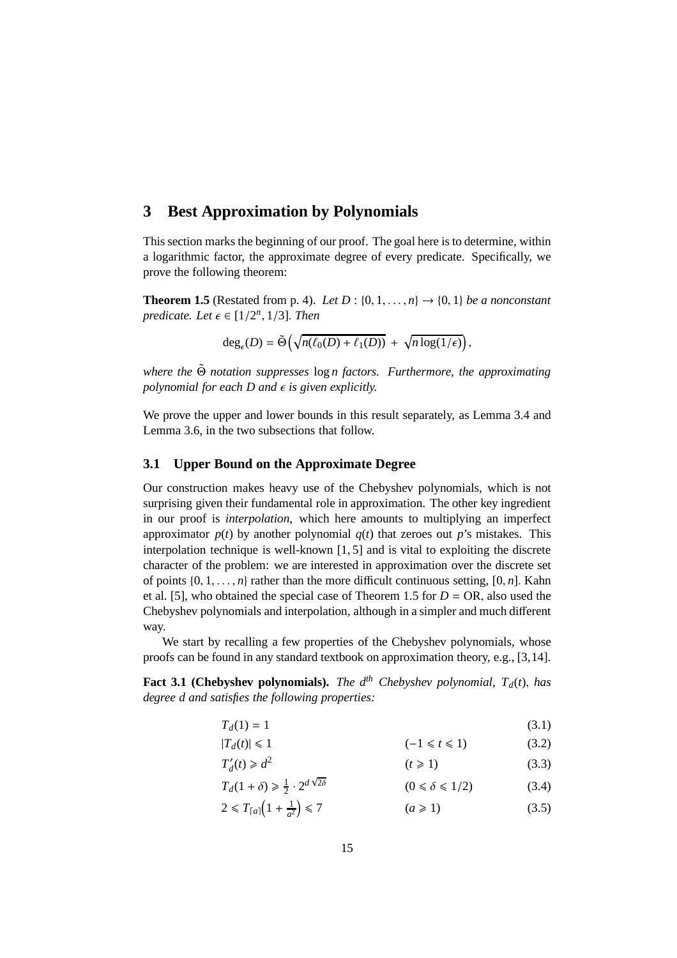# **3 Best Approximation by Polynomials**

This section marks the beginning of our proof. The goal here is to determine, within a logarithmic factor, the approximate degree of every predicate. Specifically, we prove the following theorem:

**Theorem 1.5** (Restated from p. 4). *Let*  $D$  : {0, 1, ..., *n*}  $\rightarrow$  {0, 1} *be a nonconstant predicate.* Let  $\epsilon \in [1/2^n, 1/3]$ . Then

$$
\deg_{\epsilon}(D) = \tilde{\Theta}\left(\sqrt{n(\ell_0(D) + \ell_1(D))} + \sqrt{n \log(1/\epsilon)}\right),\,
$$

*where the*  $\tilde{\Theta}$  *notation suppresses* log *n* factors. Furthermore, the approximating *polynomial for each D and*  $\epsilon$  *is given explicitly.* 

We prove the upper and lower bounds in this result separately, as Lemma 3.4 and Lemma 3.6, in the two subsections that follow.

## **3.1 Upper Bound on the Approximate Degree**

Our construction makes heavy use of the Chebyshev polynomials, which is not surprising given their fundamental role in approximation. The other key ingredient in our proof is *interpolation,* which here amounts to multiplying an imperfect approximator  $p(t)$  by another polynomial  $q(t)$  that zeroes out  $p$ 's mistakes. This interpolation technique is well-known [1, 5] and is vital to exploiting the discrete character of the problem: we are interested in approximation over the discrete set of points {0, 1, . . . , *n*} rather than the more difficult continuous setting, [0, *n*]. Kahn et al. [5], who obtained the special case of Theorem 1.5 for  $D = OR$ , also used the Chebyshev polynomials and interpolation, although in a simpler and much different way.

We start by recalling a few properties of the Chebyshev polynomials, whose proofs can be found in any standard textbook on approximation theory, e.g., [3,14].

**Fact 3.1 (Chebyshev polynomials).** *The d*<sup>th</sup> *Chebyshev polynomial,*  $T_d(t)$ *, has degree d and satisfies the following properties:*

$$
T_d(1) = 1\tag{3.1}
$$

$$
|T_d(t)| \le 1 \qquad \qquad (-1 \le t \le 1) \qquad \qquad (3.2)
$$

$$
T_d'(t) \ge d^2 \qquad (t \ge 1)
$$
\n
$$
(3.3)
$$

$$
T_d(1+\delta) \ge \frac{1}{2} \cdot 2^{d\sqrt{2\delta}} \tag{3.4}
$$

 $2 \le T_{\lceil a \rceil} \Big( 1 + \frac{1}{a^2} \Big)$  $rac{1}{a^2}$  $(a \ge 1)$  (3.5)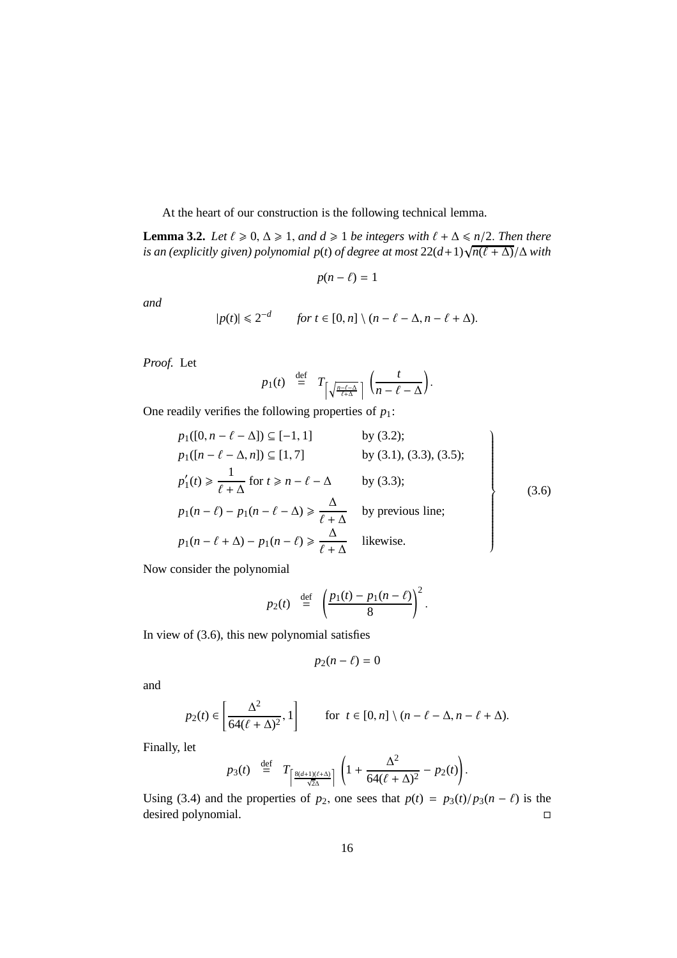At the heart of our construction is the following technical lemma.

**Lemma 3.2.** *Let*  $\ell \ge 0$ ,  $\Delta \ge 1$ , *and*  $d \ge 1$  *be integers with*  $\ell + \Delta \le n/2$ . *Then there is an (explicitly given) polynomial p(t) of degree at most*  $22(d+1)\sqrt{n(\ell+\Delta)}/\Delta$  *with* 

$$
p(n-\ell)=1
$$

*and*

$$
|p(t)| \leq 2^{-d} \qquad \text{for } t \in [0, n] \setminus (n - \ell - \Delta, n - \ell + \Delta).
$$

*Proof.* Let

$$
p_1(t) \stackrel{\text{def}}{=} T_{\left\lceil \sqrt{\frac{n-\ell-\Delta}{\ell+\Delta}} \right\rceil} \left( \frac{t}{n-\ell-\Delta} \right).
$$

One readily verifies the following properties of  $p_1$ :

$$
p_1([0, n - \ell - \Delta]) \subseteq [-1, 1] \qquad \text{by (3.2);}
$$
  
\n
$$
p_1([n - \ell - \Delta, n]) \subseteq [1, 7] \qquad \text{by (3.1), (3.3), (3.5);}
$$
  
\n
$$
p'_1(t) \ge \frac{1}{\ell + \Delta} \text{ for } t \ge n - \ell - \Delta \qquad \text{by (3.3);}
$$
  
\n
$$
p_1(n - \ell) - p_1(n - \ell - \Delta) \ge \frac{\Delta}{\ell + \Delta} \qquad \text{by previous line;}
$$
  
\n
$$
p_1(n - \ell + \Delta) - p_1(n - \ell) \ge \frac{\Delta}{\ell + \Delta} \qquad \text{likewise.}
$$
  
\n(3.6)

Now consider the polynomial

$$
p_2(t) \stackrel{\text{def}}{=} \left(\frac{p_1(t) - p_1(n-\ell)}{8}\right)^2.
$$

In view of (3.6), this new polynomial satisfies

$$
p_2(n-\ell)=0
$$

and

$$
p_2(t) \in \left[\frac{\Delta^2}{64(\ell+\Delta)^2}, 1\right] \qquad \text{for } t \in [0, n] \setminus (n-\ell-\Delta, n-\ell+\Delta).
$$

Finally, let

$$
p_3(t) \stackrel{\text{def}}{=} T_{\left[\frac{8(d+1)(\ell+\Delta)}{\sqrt{2}\Delta}\right]} \left(1 + \frac{\Delta^2}{64(\ell+\Delta)^2} - p_2(t)\right).
$$

Using (3.4) and the properties of *p*<sub>2</sub>, one sees that  $p(t) = p_3(t)/p_3(n - \ell)$  is the desired polynomial. desired polynomial.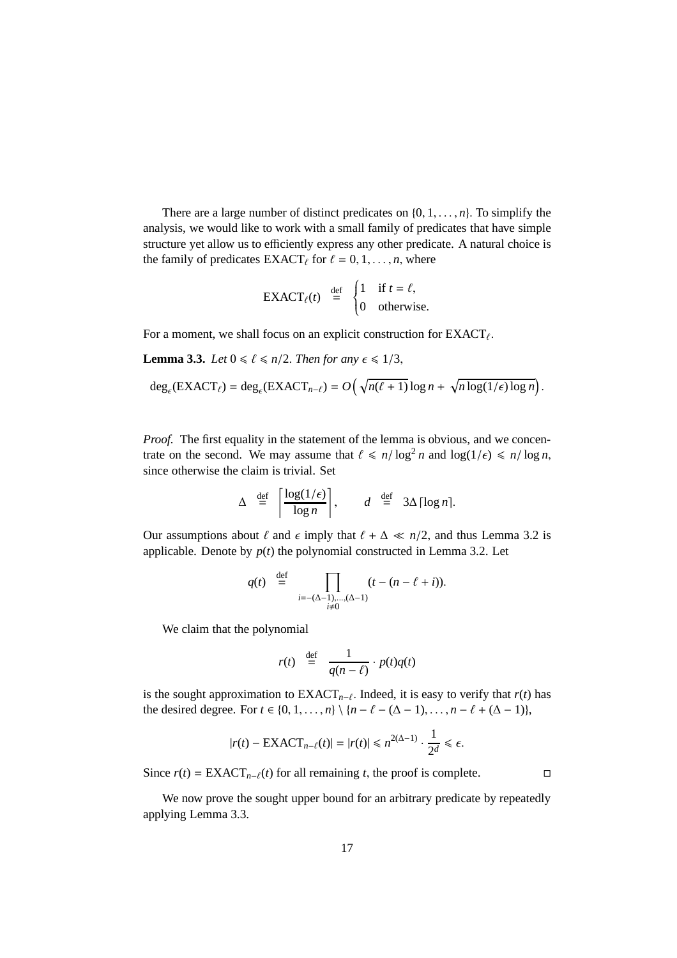There are a large number of distinct predicates on  $\{0, 1, \ldots, n\}$ . To simplify the analysis, we would like to work with a small family of predicates that have simple structure yet allow us to efficiently express any other predicate. A natural choice is the family of predicates  $\text{EXACT}_{\ell}$  for  $\ell = 0, 1, \ldots, n$ , where

$$
\text{EXACT}_{\ell}(t) \stackrel{\text{def}}{=} \begin{cases} 1 & \text{if } t = \ell, \\ 0 & \text{otherwise.} \end{cases}
$$

For a moment, we shall focus on an explicit construction for  $\text{EXACT}_{\ell}$ .

**Lemma 3.3.** *Let*  $0 \le \ell \le n/2$ *. Then for any*  $\epsilon \le 1/3$ *,* 

$$
\deg_{\epsilon}(\text{EXACT}_{\ell}) = \deg_{\epsilon}(\text{EXACT}_{n-\ell}) = O\left(\sqrt{n(\ell+1)}\log n + \sqrt{n\log(1/\epsilon)\log n}\right).
$$

*Proof.* The first equality in the statement of the lemma is obvious, and we concentrate on the second. We may assume that  $\ell \le n/\log^2 n$  and  $\log(1/\epsilon) \le n/\log n$ , since otherwise the claim is trivial. Set

$$
\Delta \stackrel{\text{def}}{=} \left\lceil \frac{\log(1/\epsilon)}{\log n} \right\rceil, \qquad d \stackrel{\text{def}}{=} 3\Delta \lceil \log n \rceil.
$$

Our assumptions about  $\ell$  and  $\epsilon$  imply that  $\ell + \Delta \ll n/2$ , and thus Lemma 3.2 is applicable. Denote by  $p(t)$  the polynomial constructed in Lemma 3.2. Let

$$
q(t) \stackrel{\text{def}}{=} \prod_{\substack{i=-(\Delta-1),\ldots,(\Delta-1) \\ i\neq 0}} (t-(n-\ell+i)).
$$

We claim that the polynomial

$$
r(t) \stackrel{\text{def}}{=} \frac{1}{q(n-\ell)} \cdot p(t)q(t)
$$

is the sought approximation to  $\text{EXACT}_{n-\ell}$ . Indeed, it is easy to verify that *r*(*t*) has the desired degree. For *t* ∈ {0, 1, . . . , *n*} \ {*n* −  $\ell$  − (∆ − 1), . . . , *n* −  $\ell$  + (∆ − 1)},

$$
|r(t) - \text{EXACT}_{n-\ell}(t)| = |r(t)| \leq n^{2(\Delta - 1)} \cdot \frac{1}{2^d} \leq \epsilon.
$$

Since  $r(t) = \text{EXACT}_{n-\ell}(t)$  for all remaining *t*, the proof is complete. □

We now prove the sought upper bound for an arbitrary predicate by repeatedly applying Lemma 3.3.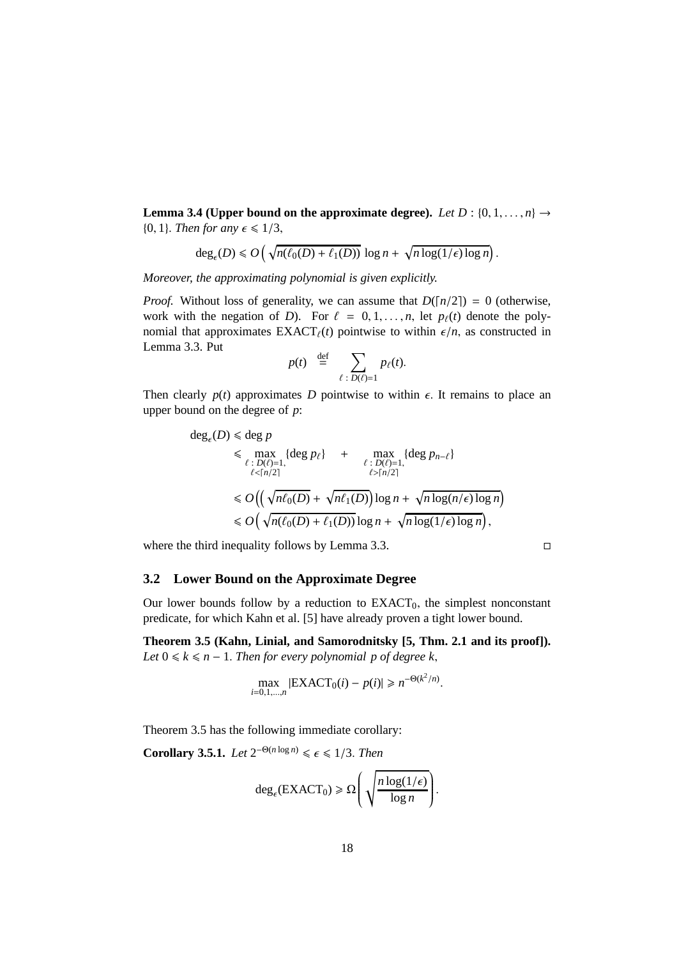**Lemma 3.4 (Upper bound on the approximate degree).** *Let*  $D : \{0, 1, \ldots, n\} \rightarrow$  ${0, 1}$ . *Then for any*  $\epsilon \leq 1/3$ ,

$$
\deg_{\epsilon}(D) \leqslant O\left(\sqrt{n(\ell_0(D) + \ell_1(D))}\log n + \sqrt{n\log(1/\epsilon)\log n}\right).
$$

*Moreover, the approximating polynomial is given explicitly.*

*Proof.* Without loss of generality, we can assume that  $D(\lceil n/2 \rceil) = 0$  (otherwise, work with the negation of *D*). For  $\ell = 0, 1, \ldots, n$ , let  $p_{\ell}(t)$  denote the polynomial that approximates  $\text{EXACT}_{\ell}(t)$  pointwise to within  $\epsilon/n$ , as constructed in Lemma 3.3. Put

$$
p(t) \stackrel{\text{def}}{=} \sum_{\ell \,:\, D(\ell)=1} p_{\ell}(t).
$$

Then clearly  $p(t)$  approximates *D* pointwise to within  $\epsilon$ . It remains to place an upper bound on the degree of *p*:

$$
\deg_{\epsilon}(D) \leq \deg p
$$
\n
$$
\leq \max_{\ell : D(\ell) = 1, \atop \ell < \lceil n/2 \rceil} \{ \deg p_{\ell} \} + \max_{\ell : D(\ell) = 1, \atop \ell > \lceil n/2 \rceil} \{ \deg p_{n-\ell} \}
$$
\n
$$
\leq O\left( \left( \sqrt{n\ell_0(D)} + \sqrt{n\ell_1(D)} \right) \log n + \sqrt{n \log(n/\epsilon) \log n} \right)
$$
\n
$$
\leq O\left( \sqrt{n(\ell_0(D) + \ell_1(D))} \log n + \sqrt{n \log(1/\epsilon) \log n} \right),
$$

where the third inequality follows by Lemma 3.3.

## **3.2 Lower Bound on the Approximate Degree**

Our lower bounds follow by a reduction to  $\text{EXACT}_0$ , the simplest nonconstant predicate, for which Kahn et al. [5] have already proven a tight lower bound.

**Theorem 3.5 (Kahn, Linial, and Samorodnitsky [5, Thm. 2.1 and its proof]).** *Let*  $0 \le k \le n - 1$ . *Then for every polynomial p of degree k,* 

$$
\max_{i=0,1,...,n} |{\text{EXACT}}_0(i) - p(i)| \geq n^{-\Theta(k^2/n)}.
$$

Theorem 3.5 has the following immediate corollary:

**Corollary 3.5.1.** *Let*  $2^{-\Theta(n \log n)} \le \epsilon \le 1/3$ *. Then* 

$$
\deg_{\epsilon}(\text{EXACT}_0) \geq \Omega \left( \sqrt{\frac{n \log(1/\epsilon)}{\log n}} \right).
$$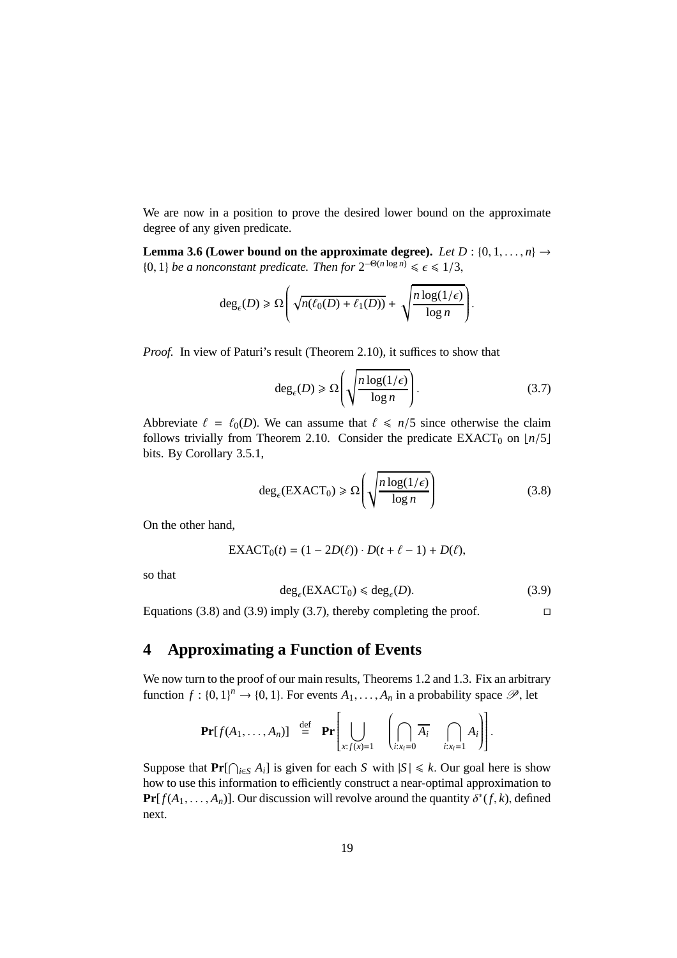We are now in a position to prove the desired lower bound on the approximate degree of any given predicate.

**Lemma 3.6 (Lower bound on the approximate degree).** *Let*  $D$  : {0, 1, ..., *n*}  $\rightarrow$  $\{0, 1\}$  *be a nonconstant predicate. Then for*  $2^{-\Theta(n \log n)} \le \epsilon \le 1/3$ ,

$$
\deg_{\epsilon}(D) \ge \Omega\left(\sqrt{n(\ell_0(D) + \ell_1(D))} + \sqrt{\frac{n\log(1/\epsilon)}{\log n}}\right)
$$

*Proof.* In view of Paturi's result (Theorem 2.10), it suffices to show that

$$
\deg_{\epsilon}(D) \ge \Omega\left(\sqrt{\frac{n\log(1/\epsilon)}{\log n}}\right). \tag{3.7}
$$

.

Abbreviate  $\ell = \ell_0(D)$ . We can assume that  $\ell \le n/5$  since otherwise the claim follows trivially from Theorem 2.10. Consider the predicate EXACT<sub>0</sub> on  $\lfloor n/5 \rfloor$ bits. By Corollary 3.5.1,

$$
\deg_{\epsilon}(\text{EXACT}_0) \ge \Omega\left(\sqrt{\frac{n\log(1/\epsilon)}{\log n}}\right)
$$
 (3.8)

On the other hand,

$$
EXACT_0(t) = (1 - 2D(\ell)) \cdot D(t + \ell - 1) + D(\ell),
$$

so that

$$
\deg_{\epsilon}(\text{EXACT}_0) \leq \deg_{\epsilon}(D). \tag{3.9}
$$

Equations (3.8) and (3.9) imply (3.7), thereby completing the proof.  $\Box$ 

# **4 Approximating a Function of Events**

We now turn to the proof of our main results, Theorems 1.2 and 1.3. Fix an arbitrary function  $f : \{0, 1\}^n \to \{0, 1\}$ . For events  $A_1, \ldots, A_n$  in a probability space  $\mathscr{P}$ , let

$$
\mathbf{Pr}[f(A_1,\ldots,A_n)] \stackrel{\text{def}}{=} \mathbf{Pr}\left[\bigcup_{x:f(x)=1} \left(\bigcap_{i:x_i=0} \overline{A_i} \bigcap_{i:x_i=1} A_i\right)\right].
$$

Suppose that  $\Pr[\bigcap_{i \in S} A_i]$  is given for each *S* with  $|S| \le k$ . Our goal here is show how to use this information to efficiently construct a near-optimal approximation to **Pr**[ $f(A_1, \ldots, A_n)$ ]. Our discussion will revolve around the quantity  $\delta^*(f, k)$ , defined next.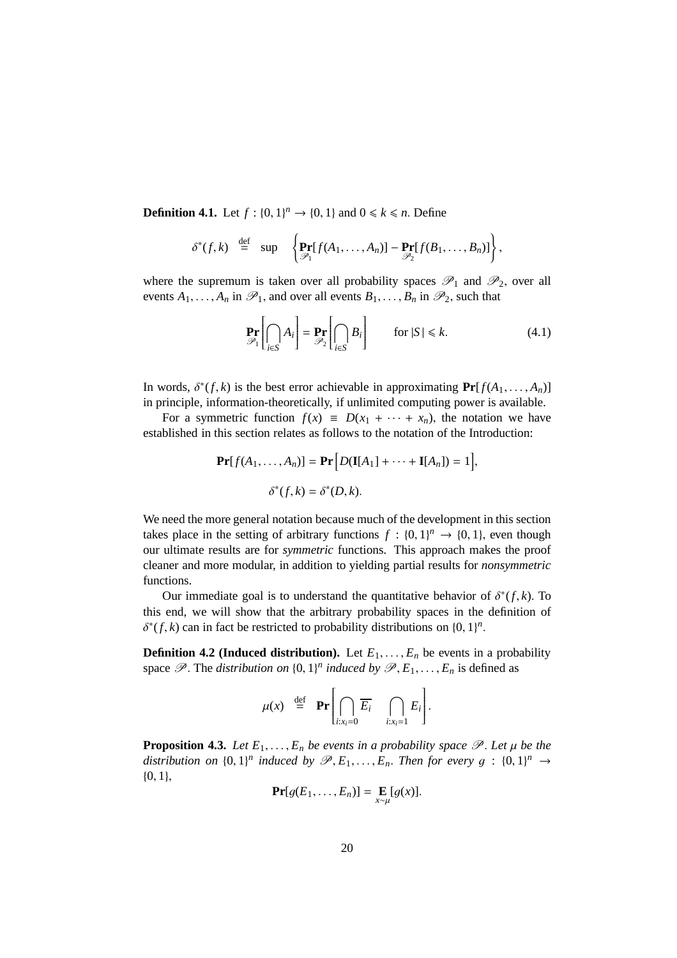**Definition 4.1.** Let  $f : \{0, 1\}^n \to \{0, 1\}$  and  $0 \le k \le n$ . Define

$$
\delta^*(f,k) \stackrel{\text{def}}{=} \sup \left\{ \Pr_{\mathcal{P}_1}[f(A_1,\ldots,A_n)] - \Pr_{\mathcal{P}_2}[f(B_1,\ldots,B_n)] \right\},
$$

where the supremum is taken over all probability spaces  $\mathscr{P}_1$  and  $\mathscr{P}_2$ , over all events  $A_1, \ldots, A_n$  in  $\mathcal{P}_1$ , and over all events  $B_1, \ldots, B_n$  in  $\mathcal{P}_2$ , such that

$$
\Pr_{\mathcal{P}_1} \left[ \bigcap_{i \in S} A_i \right] = \Pr_{\mathcal{P}_2} \left[ \bigcap_{i \in S} B_i \right] \qquad \text{for } |S| \le k. \tag{4.1}
$$

In words,  $\delta^*(f, k)$  is the best error achievable in approximating  $\Pr[f(A_1, \ldots, A_n)]$ in principle, information-theoretically, if unlimited computing power is available.

For a symmetric function  $f(x) \equiv D(x_1 + \cdots + x_n)$ , the notation we have established in this section relates as follows to the notation of the Introduction:

$$
\mathbf{Pr}[f(A_1,\ldots,A_n)] = \mathbf{Pr}\Big[D(\mathbf{I}[A_1] + \cdots + \mathbf{I}[A_n]) = 1\Big],
$$
  

$$
\delta^*(f,k) = \delta^*(D,k).
$$

We need the more general notation because much of the development in this section takes place in the setting of arbitrary functions  $f : \{0, 1\}^n \to \{0, 1\}$ , even though our ultimate results are for *symmetric* functions. This approach makes the proof cleaner and more modular, in addition to yielding partial results for *nonsymmetric* functions.

Our immediate goal is to understand the quantitative behavior of  $\delta^*(f, k)$ . To this end, we will show that the arbitrary probability spaces in the definition of  $\delta^*(f, k)$  can in fact be restricted to probability distributions on  $\{0, 1\}^n$ .

**Definition 4.2 (Induced distribution).** Let  $E_1, \ldots, E_n$  be events in a probability space  $\mathcal{P}$ . The *distribution on*  $\{0, 1\}^n$  *induced by*  $\mathcal{P}, E_1, \ldots, E_n$  is defined as

$$
\mu(x) \stackrel{\text{def}}{=} \mathbf{Pr} \left[ \bigcap_{i:x_i=0} \overline{E_i} \bigcap_{i:x_i=1} E_i \right].
$$

**Proposition 4.3.** *Let*  $E_1, \ldots, E_n$  *be events in a probability space*  $\mathscr P$ *. Let*  $\mu$  *be the* distribution on  $\{0, 1\}^n$  induced by  $\mathscr{P}, E_1, \ldots, E_n$ . Then for every  $g : \{0, 1\}^n \to$ {0, 1},

$$
\mathbf{Pr}[g(E_1,\ldots,E_n)] = \mathbf{E}_{x\sim\mu}[g(x)].
$$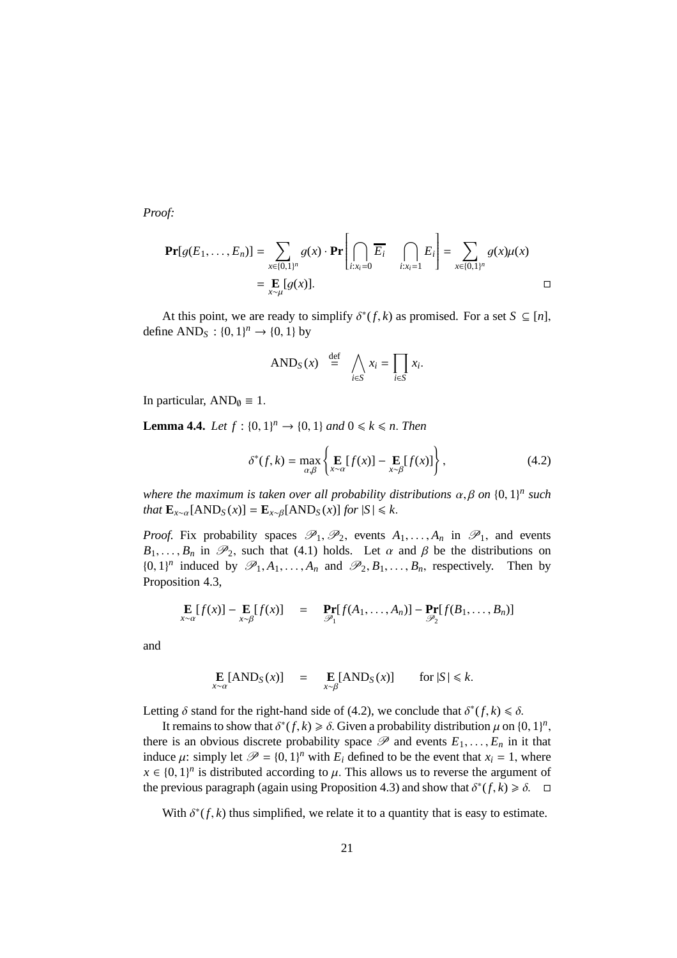*Proof:*

$$
\mathbf{Pr}[g(E_1,\ldots,E_n)] = \sum_{x\in\{0,1\}^n} g(x) \cdot \mathbf{Pr}\left[\bigcap_{i:x_i=0} \overline{E_i} \bigcap_{i:x_i=1} E_i\right] = \sum_{x\in\{0,1\}^n} g(x)\mu(x)
$$

$$
= \mathbf{E}\left[g(x)\right].
$$

At this point, we are ready to simplify  $\delta^*(f, k)$  as promised. For a set  $S \subseteq [n]$ , define  $AND_S : \{0, 1\}^n \to \{0, 1\}$  by

$$
AND_S(x) \stackrel{\text{def}}{=} \bigwedge_{i \in S} x_i = \prod_{i \in S} x_i.
$$

In particular,  $AND_{\theta} \equiv 1$ .

**Lemma 4.4.** *Let*  $f : \{0, 1\}^n \to \{0, 1\}$  *and*  $0 \le k \le n$ *. Then* 

$$
\delta^*(f,k) = \max_{\alpha,\beta} \left\{ \mathbf{E}_\alpha[f(x)] - \mathbf{E}_\beta[f(x)] \right\},\tag{4.2}
$$

*where the maximum is taken over all probability distributions* α, β *on* {0, 1} *n such that*  $\mathbf{E}_{x \sim a}[\text{AND}_S(x)] = \mathbf{E}_{x \sim \beta}[\text{AND}_S(x)]$  *for*  $|S| \le k$ .

*Proof.* Fix probability spaces  $\mathcal{P}_1$ ,  $\mathcal{P}_2$ , events  $A_1, \ldots, A_n$  in  $\mathcal{P}_1$ , and events  $B_1, \ldots, B_n$  in  $\mathcal{P}_2$ , such that (4.1) holds. Let  $\alpha$  and  $\beta$  be the distributions on  $\{0, 1\}^n$  induced by  $\mathscr{P}_1, A_1, \ldots, A_n$  and  $\mathscr{P}_2, B_1, \ldots, B_n$ , respectively. Then by Proposition 4.3,

$$
\mathbf{E}_{x \sim \alpha}[f(x)] - \mathbf{E}_{x \sim \beta}[f(x)] = \mathbf{Pr}[f(A_1, \dots, A_n)] - \mathbf{Pr}[f(B_1, \dots, B_n)]
$$

and

$$
\mathbf{E}_{x \sim \alpha}[\text{AND}_S(x)] = \mathbf{E}_{x \sim \beta}[\text{AND}_S(x)] \quad \text{for } |S| \le k.
$$

Letting  $\delta$  stand for the right-hand side of (4.2), we conclude that  $\delta^*(f, k) \leq \delta$ .

It remains to show that  $\delta^*(f, k) \ge \delta$ . Given a probability distribution  $\mu$  on  $\{0, 1\}^n$ , there is an obvious discrete probability space  $\mathscr P$  and events  $E_1, \ldots, E_n$  in it that induce  $\mu$ : simply let  $\mathcal{P} = \{0, 1\}^n$  with  $E_i$  defined to be the event that  $x_i = 1$ , where  $x \in \{0, 1\}^n$  is distributed according to  $\mu$ . This allows us to reverse the argument of the previous paragraph (again using Proposition 4.3) and show that  $\delta^*(f, k) \ge \delta$ .  $\Box$ 

With  $\delta^*(f, k)$  thus simplified, we relate it to a quantity that is easy to estimate.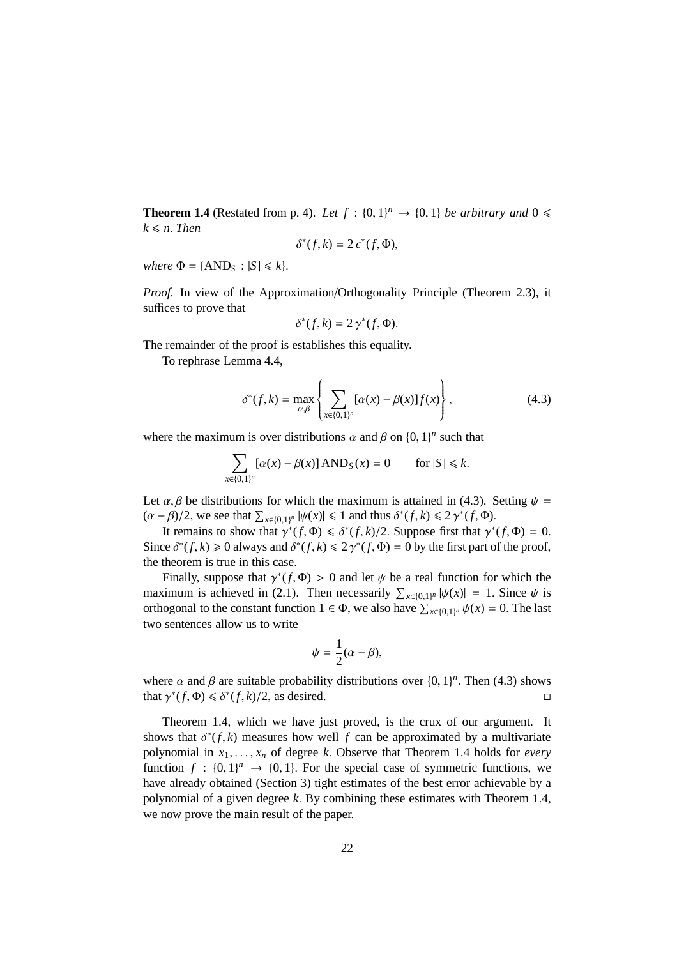**Theorem 1.4** (Restated from p. 4). Let  $f : \{0, 1\}^n \rightarrow \{0, 1\}$  be arbitrary and  $0 \le$  $k \leq n$ . *Then* 

$$
\delta^*(f,k) = 2\,\epsilon^*(f,\Phi),
$$

*where*  $\Phi = \{AND_S : |S| \le k\}.$ 

*Proof.* In view of the Approximation/Orthogonality Principle (Theorem 2.3), it suffices to prove that

$$
\delta^*(f,k) = 2\gamma^*(f,\Phi).
$$

The remainder of the proof is establishes this equality.

To rephrase Lemma 4.4,

$$
\delta^*(f,k) = \max_{\alpha,\beta} \left\{ \sum_{x \in \{0,1\}^n} [\alpha(x) - \beta(x)] f(x) \right\},\tag{4.3}
$$

where the maximum is over distributions  $\alpha$  and  $\beta$  on  $\{0, 1\}^n$  such that

$$
\sum_{x \in \{0,1\}^n} [\alpha(x) - \beta(x)] \text{ AND}_S(x) = 0 \quad \text{for } |S| \le k.
$$

Let  $\alpha$ ,  $\beta$  be distributions for which the maximum is attained in (4.3). Setting  $\psi$  =  $(\alpha - \beta)/2$ , we see that  $\sum_{x \in \{0,1\}^n} |\psi(x)| \le 1$  and thus  $\delta^*(f, k) \le 2\gamma^*(f, \Phi)$ .

It remains to show that  $\gamma^*(f, \Phi) \leq \delta^*(f, k)/2$ . Suppose first that  $\gamma^*(f, \Phi) = 0$ . Since  $\delta^*(f, k) \ge 0$  always and  $\delta^*(f, k) \le 2\gamma^*(f, \Phi) = 0$  by the first part of the proof, the theorem is true in this case.

Finally, suppose that  $\gamma^*(f, \Phi) > 0$  and let  $\psi$  be a real function for which the maximum is achieved in (2.1). Then necessarily  $\sum_{x \in \{0,1\}^n} |\psi(x)| = 1$ . Since  $\psi$  is orthogonal to the constant function  $1 \in \Phi$ , we also have  $\sum_{x \in \{0,1\}^n} \psi(x) = 0$ . The last two sentences allow us to write

$$
\psi = \frac{1}{2}(\alpha - \beta),
$$

where  $\alpha$  and  $\beta$  are suitable probability distributions over  $\{0, 1\}^n$ . Then (4.3) shows that  $\gamma^*(f, \Phi) \leq \delta^*(f, k)/2$ , as desired.

Theorem 1.4, which we have just proved, is the crux of our argument. It shows that  $\delta^*(f, k)$  measures how well f can be approximated by a multivariate polynomial in  $x_1, \ldots, x_n$  of degree *k*. Observe that Theorem 1.4 holds for *every* function  $f : \{0, 1\}^n \to \{0, 1\}$ . For the special case of symmetric functions, we have already obtained (Section 3) tight estimates of the best error achievable by a polynomial of a given degree *k*. By combining these estimates with Theorem 1.4, we now prove the main result of the paper.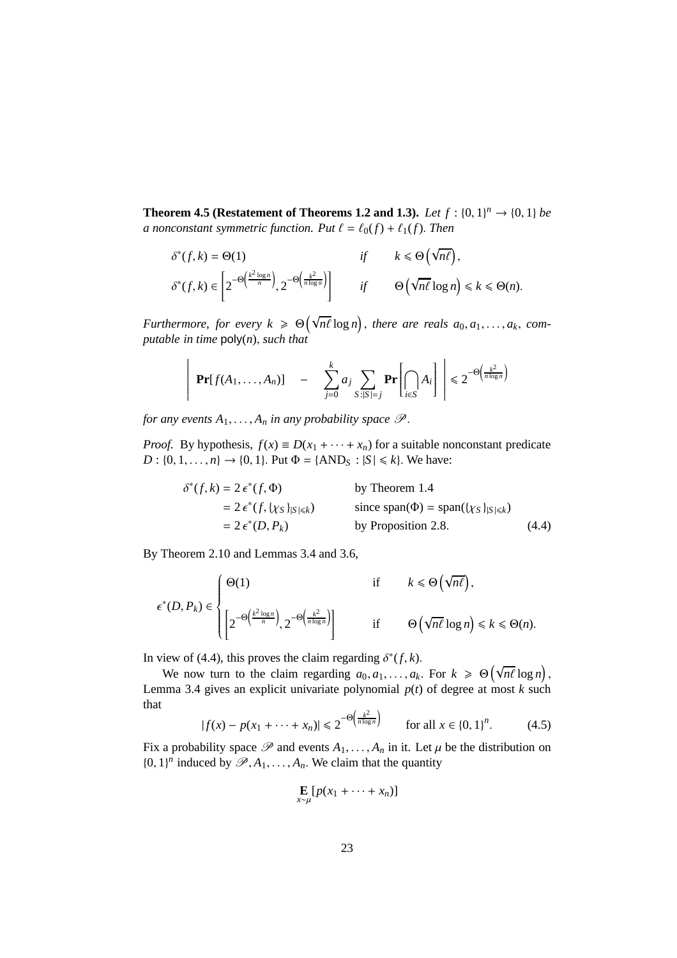**Theorem 4.5 (Restatement of Theorems 1.2 and 1.3).** *Let*  $f : \{0, 1\}^n \to \{0, 1\}$  *be a* nonconstant symmetric function. Put  $\ell = \ell_0(f) + \ell_1(f)$ . Then

$$
\begin{aligned}\n\delta^*(f,k) &= \Theta(1) & \text{if} & k \leq \Theta\left(\sqrt{n\ell}\right), \\
\delta^*(f,k) & \in \left[2^{-\Theta\left(\frac{k^2 \log n}{n}\right)}, 2^{-\Theta\left(\frac{k^2}{n \log n}\right)}\right] & \text{if} & \Theta\left(\sqrt{n\ell} \log n\right) \leq k \leq \Theta(n).\n\end{aligned}
$$

 $Furthermore, for every  $k \geq \Theta\left(\sqrt{n\ell} \log n\right)$ , there are reals  $a_0, a_1, \ldots, a_k$ , com$ *putable in time* poly(*n*), *such that*

$$
\mathbf{Pr}[f(A_1,\ldots,A_n)] \quad - \quad \sum_{j=0}^k a_j \sum_{S:|S|=j} \mathbf{Pr}\left[\bigcap_{i\in S} A_i\right] \ \Bigg| \leq 2^{-\Theta\left(\frac{k^2}{n\log n}\right)}
$$

*for any events*  $A_1, \ldots, A_n$  *in any probability space*  $\mathcal{P}$ *.* 

I I I I I ╿ I I

*Proof.* By hypothesis,  $f(x) \equiv D(x_1 + \cdots + x_n)$  for a suitable nonconstant predicate *D* : {0, 1, . . . , *n*}  $\rightarrow$  {0, 1}. Put  $\Phi = {\text{AND}_S : |S| \le k}$ . We have:

$$
\delta^*(f, k) = 2 \epsilon^*(f, \Phi) \qquad \text{by Theorem 1.4}
$$
  
=  $2 \epsilon^*(f, \{ \chi_S \}_{|S| \le k})$  since  $\text{span}(\Phi) = \text{span}(\{\chi_S \}_{|S| \le k})$   
=  $2 \epsilon^*(D, P_k)$  by Proposition 2.8. (4.4)

By Theorem 2.10 and Lemmas 3.4 and 3.6,

$$
\epsilon^*(D,P_k) \in \begin{cases} \Theta(1) & \quad \text{if} \quad k \leq \Theta\left(\sqrt{n\ell}\right), \\ \\ \left[2^{-\Theta\left(\frac{k^2 \log n}{n}\right)}, 2^{-\Theta\left(\frac{k^2}{n \log n}\right)}\right] & \quad \text{if} \quad \Theta\left(\sqrt{n\ell} \log n\right) \leq k \leq \Theta(n). \end{cases}
$$

In view of (4.4), this proves the claim regarding  $\delta^*(f, k)$ .

We now turn to the claim regarding  $a_0, a_1, \ldots, a_k$ . For  $k \geq \Theta\left(\sqrt{n\ell} \log n\right)$ , Lemma 3.4 gives an explicit univariate polynomial  $p(t)$  of degree at most  $k$  such that

$$
|f(x) - p(x_1 + \dots + x_n)| \leq 2^{-\Theta\left(\frac{k^2}{n\log n}\right)} \quad \text{for all } x \in \{0, 1\}^n. \tag{4.5}
$$

Fix a probability space  $\mathscr P$  and events  $A_1, \ldots, A_n$  in it. Let  $\mu$  be the distribution on  $\{0, 1\}^n$  induced by  $\mathscr{P}, A_1, \ldots, A_n$ . We claim that the quantity

$$
\mathop{\mathbf{E}}_{x\sim\mu}[p(x_1+\cdots+x_n)]
$$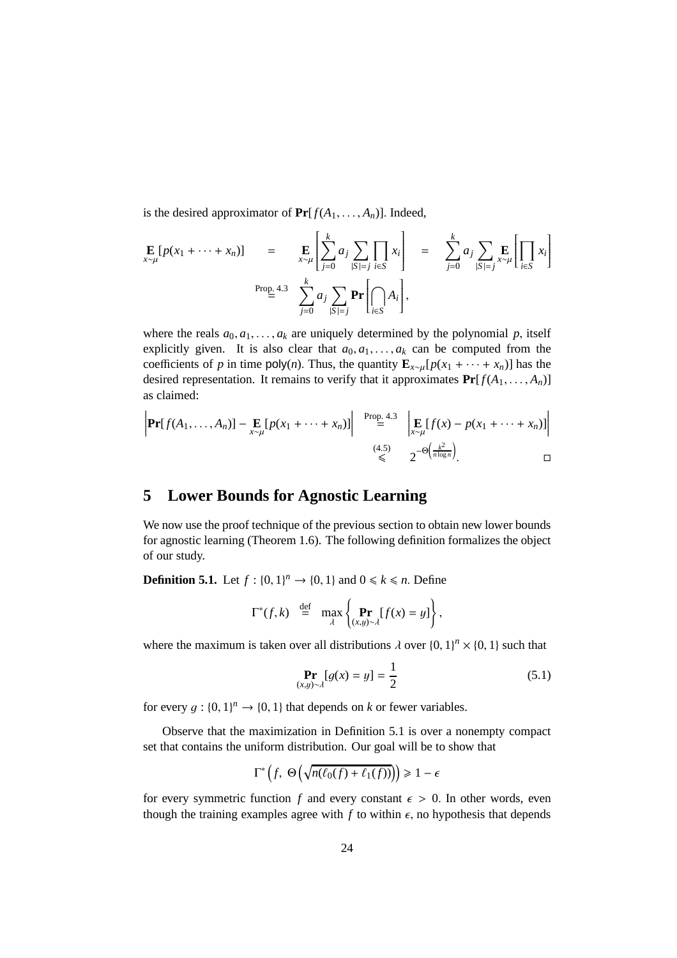is the desired approximator of  $\Pr[f(A_1, \ldots, A_n)]$ . Indeed,

$$
\mathbf{E}_{x\sim\mu}[p(x_1 + \cdots + x_n)] = \mathbf{E}_{x\sim\mu} \left[ \sum_{j=0}^k a_j \sum_{|S|=j} \prod_{i \in S} x_i \right] = \sum_{j=0}^k a_j \sum_{|S|=j} \mathbf{E}_{x\sim\mu} \left[ \prod_{i \in S} x_i \right]
$$
  
Prop. 4.3 
$$
\sum_{j=0}^k a_j \sum_{|S|=j} \mathbf{Pr} \left[ \bigcap_{i \in S} A_i \right],
$$

where the reals  $a_0, a_1, \ldots, a_k$  are uniquely determined by the polynomial p, itself explicitly given. It is also clear that  $a_0, a_1, \ldots, a_k$  can be computed from the coefficients of *p* in time poly(*n*). Thus, the quantity  $\mathbf{E}_{x \sim \mu}[p(x_1 + \cdots + x_n)]$  has the desired representation. It remains to verify that it approximates  $Pr[f(A_1, \ldots, A_n)]$ as claimed:

$$
\left|\Pr[f(A_1,\ldots,A_n)] - \underset{x\sim\mu}{\mathbf{E}}[p(x_1+\cdots+x_n)]\right| \xrightarrow{\text{Prop. 4.3}} \left|\underset{\leqslant}{\mathbf{E}}[f(x) - p(x_1+\cdots+x_n)]\right|
$$
\n
$$
\xrightarrow{\text{(4.5)}} 2^{-\Theta\left(\frac{k^2}{n\log n}\right)} \square
$$

# **5 Lower Bounds for Agnostic Learning**

We now use the proof technique of the previous section to obtain new lower bounds for agnostic learning (Theorem 1.6). The following definition formalizes the object of our study.

**Definition 5.1.** Let  $f : \{0, 1\}^n \to \{0, 1\}$  and  $0 \le k \le n$ . Define

$$
\Gamma^*(f,k) \stackrel{\text{def}}{=} \max_{\lambda} \left\{ \Pr_{(x,y) \sim \lambda} [f(x) = y] \right\},\,
$$

where the maximum is taken over all distributions  $\lambda$  over  $\{0, 1\}^n \times \{0, 1\}$  such that

$$
\Pr_{(x,y)\sim\lambda}[g(x) = y] = \frac{1}{2}
$$
 (5.1)

for every  $g: \{0, 1\}^n \to \{0, 1\}$  that depends on *k* or fewer variables.

Observe that the maximization in Definition 5.1 is over a nonempty compact set that contains the uniform distribution. Our goal will be to show that

$$
\Gamma^*\left(f, \Theta\left(\sqrt{n(\ell_0(f) + \ell_1(f))}\right)\right) \geq 1 - \epsilon
$$

for every symmetric function *f* and every constant  $\epsilon > 0$ . In other words, even though the training examples agree with  $f$  to within  $\epsilon$ , no hypothesis that depends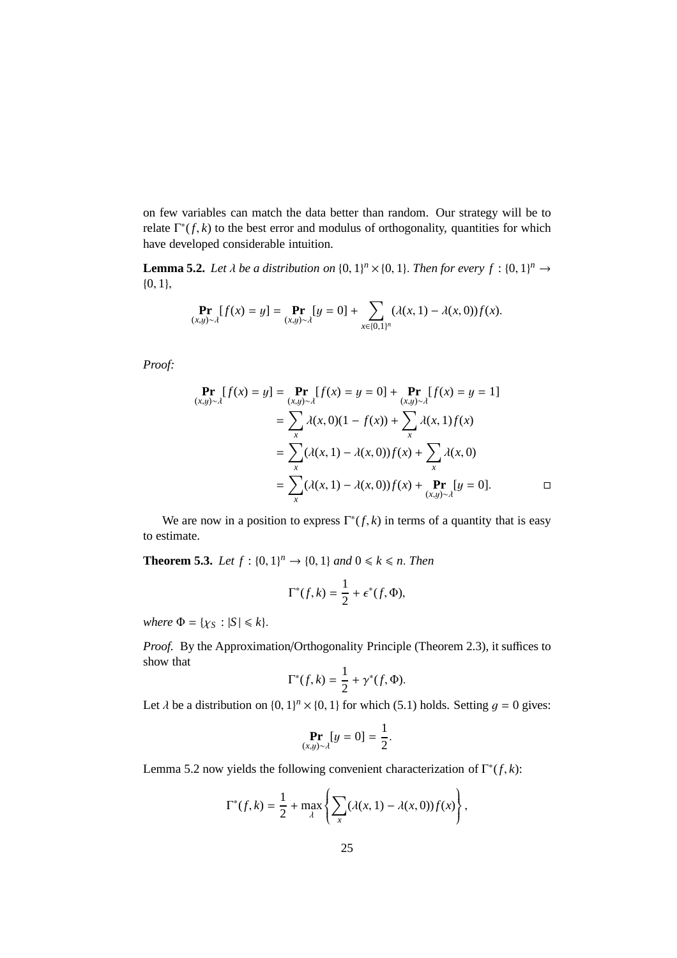on few variables can match the data better than random. Our strategy will be to relate  $\Gamma^*(f, k)$  to the best error and modulus of orthogonality, quantities for which have developed considerable intuition.

**Lemma 5.2.** Let  $\lambda$  be a distribution on  $\{0, 1\}^n \times \{0, 1\}$ . Then for every  $f : \{0, 1\}^n \to$ {0, 1},

$$
\mathbf{Pr}_{(x,y)\sim\lambda}[f(x) = y] = \mathbf{Pr}_{(x,y)\sim\lambda}[y = 0] + \sum_{x \in \{0,1\}^n} (\lambda(x, 1) - \lambda(x, 0)) f(x).
$$

*Proof:*

$$
\begin{aligned}\n\mathbf{Pr}_{(x,y)\sim\lambda}[f(x) = y] &= \mathbf{Pr}_{(x,y)\sim\lambda}[f(x) = y = 0] + \mathbf{Pr}_{(x,y)\sim\lambda}[f(x) = y = 1] \\
&= \sum_{x} \lambda(x,0)(1 - f(x)) + \sum_{x} \lambda(x,1)f(x) \\
&= \sum_{x} (\lambda(x,1) - \lambda(x,0))f(x) + \sum_{x} \lambda(x,0) \\
&= \sum_{x} (\lambda(x,1) - \lambda(x,0))f(x) + \mathbf{Pr}_{(x,y)\sim\lambda}[y = 0].\n\end{aligned}
$$

We are now in a position to express  $\Gamma^*(f, k)$  in terms of a quantity that is easy to estimate.

**Theorem 5.3.** *Let*  $f : \{0, 1\}^n \to \{0, 1\}$  *and*  $0 \le k \le n$ *. Then* 

$$
\Gamma^*(f,k) = \frac{1}{2} + \epsilon^*(f, \Phi),
$$

*where*  $\Phi = \{ \chi_S : |S| \leq k \}.$ 

*Proof.* By the Approximation/Orthogonality Principle (Theorem 2.3), it suffices to show that 1

$$
\Gamma^*(f,k) = \frac{1}{2} + \gamma^*(f, \Phi).
$$

Let  $\lambda$  be a distribution on  $\{0, 1\}^n \times \{0, 1\}$  for which (5.1) holds. Setting  $g = 0$  gives:

$$
\Pr_{(x,y)\sim\lambda}[y=0]=\frac{1}{2}.
$$

Lemma 5.2 now yields the following convenient characterization of  $\Gamma^*(f, k)$ :

$$
\Gamma^*(f,k) = \frac{1}{2} + \max_{\lambda} \left\{ \sum_{x} (\lambda(x,1) - \lambda(x,0)) f(x) \right\},\,
$$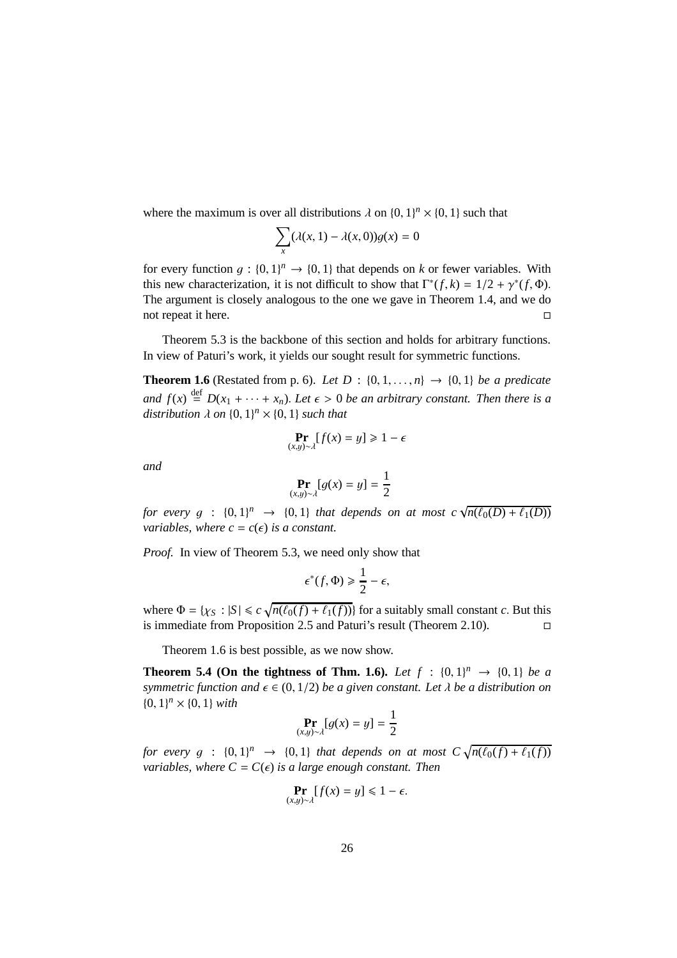where the maximum is over all distributions  $\lambda$  on  $\{0, 1\}^n \times \{0, 1\}$  such that

$$
\sum_x (\lambda(x,1)-\lambda(x,0))g(x)=0
$$

for every function  $g: \{0, 1\}^n \to \{0, 1\}$  that depends on *k* or fewer variables. With this new characterization, it is not difficult to show that  $\Gamma^*(f, k) = 1/2 + \gamma^*(f, \Phi)$ . The argument is closely analogous to the one we gave in Theorem 1.4, and we do not repeat it here.

Theorem 5.3 is the backbone of this section and holds for arbitrary functions. In view of Paturi's work, it yields our sought result for symmetric functions.

**Theorem 1.6** (Restated from p. 6). Let  $D : \{0, 1, \ldots, n\} \rightarrow \{0, 1\}$  be a predicate *and*  $f(x) \stackrel{\text{def}}{=} D(x_1 + \cdots + x_n)$ . Let  $\epsilon > 0$  be an arbitrary constant. Then there is a  $distribution \lambda on \{0, 1\}^n \times \{0, 1\}$  *such that* 

$$
\Pr_{(x,y)\sim\lambda}[f(x) = y] \ge 1 - \epsilon
$$

*and*

$$
\Pr_{(x,y)\sim\lambda}[g(x) = y] = \frac{1}{2}
$$

*for every*  $g : \{0,1\}^n \rightarrow \{0,1\}$  *that depends on at most c*  $\sqrt{n(\ell_0(D) + \ell_1(D))}$ *variables, where*  $c = c(\epsilon)$  *is a constant.* 

*Proof.* In view of Theorem 5.3, we need only show that

$$
\epsilon^*(f, \Phi) \geq \frac{1}{2} - \epsilon,
$$

where  $\Phi = \{ \chi_S : |S| \le c \sqrt{n(\ell_0(f) + \ell_1(f))} \}$  for a suitably small constant *c*. But this is immediate from Proposition 2.5 and Paturi's result (Theorem 2.10).

Theorem 1.6 is best possible, as we now show.

**Theorem 5.4 (On the tightness of Thm. 1.6).** *Let*  $f : \{0, 1\}^n \to \{0, 1\}$  *be a symmetric function and*  $\epsilon \in (0, 1/2)$  *be a given constant. Let*  $\lambda$  *be a distribution on*  $\{0, 1\}^n \times \{0, 1\}$  *with* 

$$
\Pr_{(x,y)\sim\lambda}[g(x) = y] = \frac{1}{2}
$$

*for every*  $g : \{0, 1\}^n \rightarrow \{0, 1\}$  *that depends on at most*  $C \sqrt{n(\ell_0(f) + \ell_1(f))}$ *variables, where*  $C = C(\epsilon)$  *is a large enough constant. Then* 

$$
\Pr_{(x,y)\sim\lambda}[f(x)=y] \leq 1-\epsilon.
$$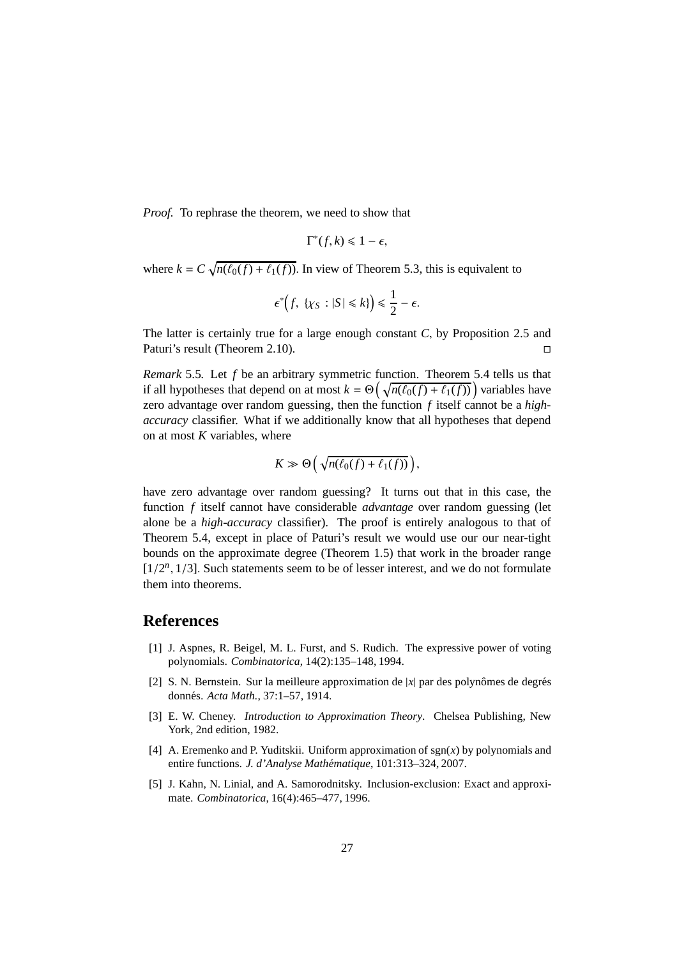*Proof.* To rephrase the theorem, we need to show that

$$
\Gamma^*(f,k)\leq 1-\epsilon,
$$

where  $k = C \sqrt{n(\ell_0(f) + \ell_1(f))}$ . In view of Theorem 5.3, this is equivalent to

$$
\epsilon^*\Big(f,\ \{\chi_S\,:\,|S|\leq k\}\Big)\leq \frac{1}{2}-\epsilon.
$$

The latter is certainly true for a large enough constant *C*, by Proposition 2.5 and Paturi's result (Theorem 2.10). □

*Remark* 5.5*.* Let *f* be an arbitrary symmetric function. Theorem 5.4 tells us that if all hypotheses that depend on at most  $k = \Theta\left(\sqrt{n(\ell_0(f) + \ell_1(f))}\right)$  variables have zero advantage over random guessing, then the function *f* itself cannot be a *highaccuracy* classifier. What if we additionally know that all hypotheses that depend on at most *K* variables, where

$$
K \gg \Theta\left(\sqrt{n(\ell_0(f) + \ell_1(f))}\right),\,
$$

have zero advantage over random guessing? It turns out that in this case, the function *f* itself cannot have considerable *advantage* over random guessing (let alone be a *high-accuracy* classifier). The proof is entirely analogous to that of Theorem 5.4, except in place of Paturi's result we would use our our near-tight bounds on the approximate degree (Theorem 1.5) that work in the broader range  $[1/2<sup>n</sup>, 1/3]$ . Such statements seem to be of lesser interest, and we do not formulate them into theorems.

# **References**

- [1] J. Aspnes, R. Beigel, M. L. Furst, and S. Rudich. The expressive power of voting polynomials. *Combinatorica*, 14(2):135–148, 1994.
- [2] S. N. Bernstein. Sur la meilleure approximation de  $|x|$  par des polynômes de degrés donn´es. *Acta Math.*, 37:1–57, 1914.
- [3] E. W. Cheney. *Introduction to Approximation Theory*. Chelsea Publishing, New York, 2nd edition, 1982.
- [4] A. Eremenko and P. Yuditskii. Uniform approximation of sgn(*x*) by polynomials and entire functions. *J. d'Analyse Mathématique*, 101:313-324, 2007.
- [5] J. Kahn, N. Linial, and A. Samorodnitsky. Inclusion-exclusion: Exact and approximate. *Combinatorica*, 16(4):465–477, 1996.